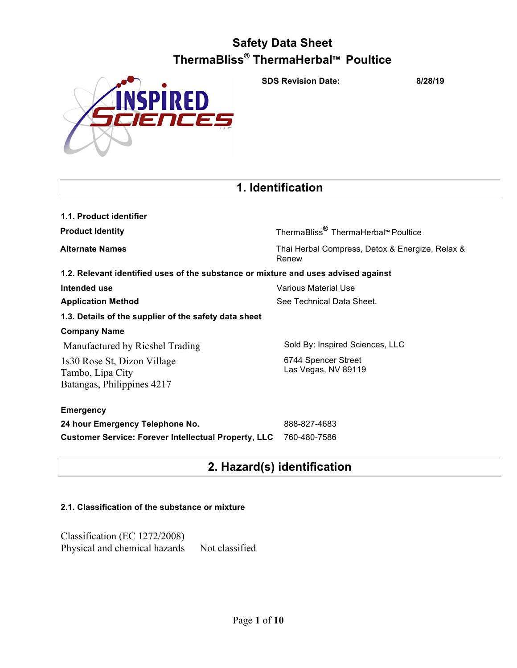**SDS Revision Date: 8/28/19**



## **1. Identification**

| 1.1. Product identifier                                                            |                                                          |
|------------------------------------------------------------------------------------|----------------------------------------------------------|
| <b>Product Identity</b>                                                            | ThermaBliss <sup>®</sup> ThermaHerbal™ Poultice          |
| <b>Alternate Names</b>                                                             | Thai Herbal Compress, Detox & Energize, Relax &<br>Renew |
| 1.2. Relevant identified uses of the substance or mixture and uses advised against |                                                          |
| Intended use                                                                       | Various Material Use                                     |
| <b>Application Method</b>                                                          | See Technical Data Sheet.                                |
| 1.3. Details of the supplier of the safety data sheet                              |                                                          |
| <b>Company Name</b>                                                                |                                                          |
| Manufactured by Ricshel Trading                                                    | Sold By: Inspired Sciences, LLC                          |
| 1s30 Rose St, Dizon Village<br>Tambo, Lipa City<br>Batangas, Philippines 4217      | 6744 Spencer Street<br>Las Vegas, NV 89119               |
| <b>Emergency</b>                                                                   |                                                          |
| 24 hour Emergency Telephone No.                                                    | 888-827-4683                                             |
| <b>Customer Service: Forever Intellectual Property, LLC</b>                        | 760-480-7586                                             |

# **2. Hazard(s) identification**

## **2.1. Classification of the substance or mixture**

Classification (EC 1272/2008) Physical and chemical hazards Not classified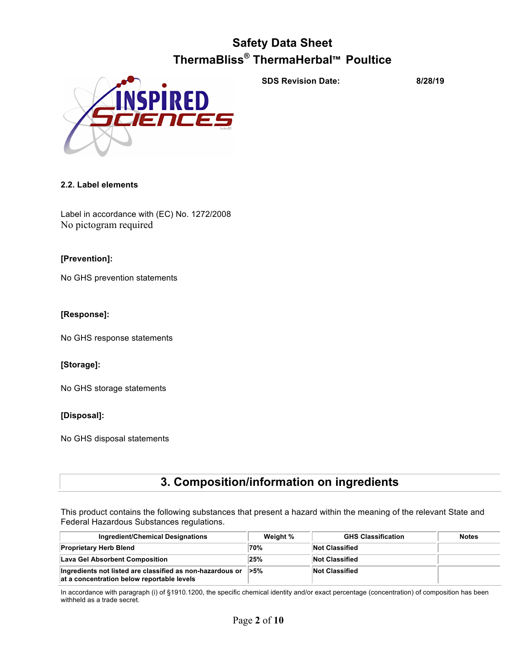

**SDS Revision Date: 8/28/19**

## **2.2. Label elements**

Label in accordance with (EC) No. 1272/2008 No pictogram required

## **[Prevention]:**

No GHS prevention statements

## **[Response]:**

No GHS response statements

## **[Storage]:**

No GHS storage statements

## **[Disposal]:**

No GHS disposal statements

## **3. Composition/information on ingredients**

This product contains the following substances that present a hazard within the meaning of the relevant State and Federal Hazardous Substances regulations.

| Ingredient/Chemical Designations                                                                                   | Weight % | <b>GHS Classification</b> | <b>Notes</b> |
|--------------------------------------------------------------------------------------------------------------------|----------|---------------------------|--------------|
| <b>Proprietary Herb Blend</b>                                                                                      | 70%      | <b>Not Classified</b>     |              |
| Lava Gel Absorbent Composition                                                                                     | 25%      | Not Classified            |              |
| Ingredients not listed are classified as non-hazardous or $\geq 5\%$<br>at a concentration below reportable levels |          | <b>Not Classified</b>     |              |

In accordance with paragraph (i) of §1910.1200, the specific chemical identity and/or exact percentage (concentration) of composition has been withheld as a trade secret.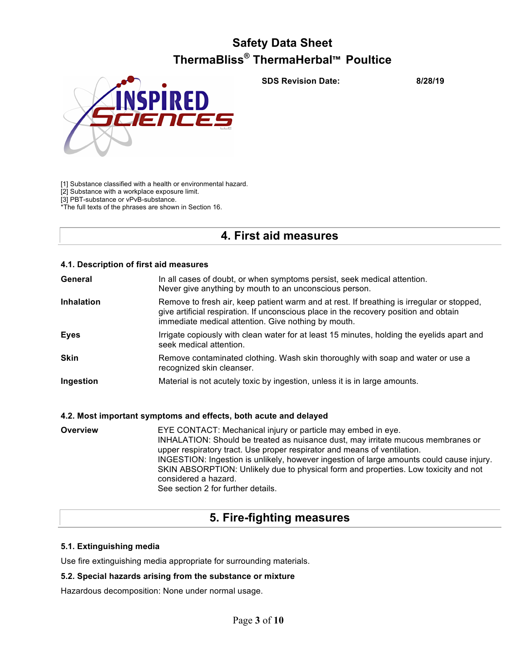**SDS Revision Date: 8/28/19**



[1] Substance classified with a health or environmental hazard.

[2] Substance with a workplace exposure limit.

[3] PBT-substance or vPvB-substance.

\*The full texts of the phrases are shown in Section 16.

## **4. First aid measures**

## **4.1. Description of first aid measures**

| General           | In all cases of doubt, or when symptoms persist, seek medical attention.<br>Never give anything by mouth to an unconscious person.                                                                                                        |
|-------------------|-------------------------------------------------------------------------------------------------------------------------------------------------------------------------------------------------------------------------------------------|
| <b>Inhalation</b> | Remove to fresh air, keep patient warm and at rest. If breathing is irregular or stopped,<br>give artificial respiration. If unconscious place in the recovery position and obtain<br>immediate medical attention. Give nothing by mouth. |
| <b>Eyes</b>       | Irrigate copiously with clean water for at least 15 minutes, holding the eyelids apart and<br>seek medical attention.                                                                                                                     |
| <b>Skin</b>       | Remove contaminated clothing. Wash skin thoroughly with soap and water or use a<br>recognized skin cleanser.                                                                                                                              |
| Ingestion         | Material is not acutely toxic by ingestion, unless it is in large amounts.                                                                                                                                                                |

## **4.2. Most important symptoms and effects, both acute and delayed**

**Overview EYE CONTACT: Mechanical injury or particle may embed in eye.** INHALATION: Should be treated as nuisance dust, may irritate mucous membranes or upper respiratory tract. Use proper respirator and means of ventilation. INGESTION: Ingestion is unlikely, however ingestion of large amounts could cause injury. SKIN ABSORPTION: Unlikely due to physical form and properties. Low toxicity and not considered a hazard. See section 2 for further details.

## **5. Fire-fighting measures**

## **5.1. Extinguishing media**

Use fire extinguishing media appropriate for surrounding materials.

## **5.2. Special hazards arising from the substance or mixture**

Hazardous decomposition: None under normal usage.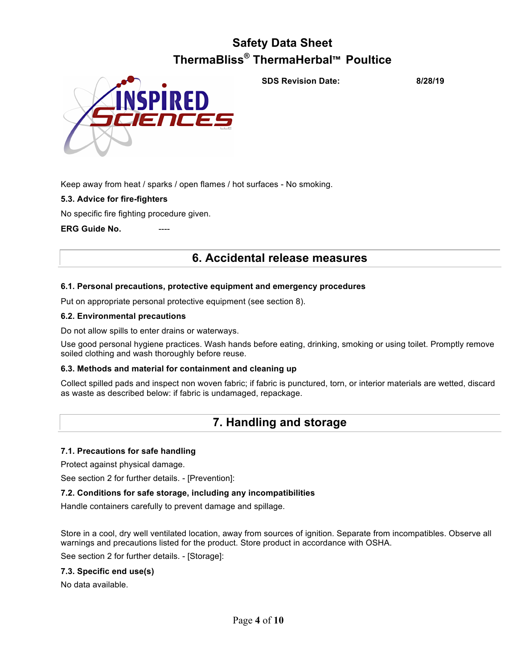

**SDS Revision Date: 8/28/19**

Keep away from heat / sparks / open flames / hot surfaces - No smoking.

## **5.3. Advice for fire-fighters**

No specific fire fighting procedure given.

## **ERG Guide No.**

## **6. Accidental release measures**

## **6.1. Personal precautions, protective equipment and emergency procedures**

Put on appropriate personal protective equipment (see section 8).

## **6.2. Environmental precautions**

Do not allow spills to enter drains or waterways.

Use good personal hygiene practices. Wash hands before eating, drinking, smoking or using toilet. Promptly remove soiled clothing and wash thoroughly before reuse.

## **6.3. Methods and material for containment and cleaning up**

Collect spilled pads and inspect non woven fabric; if fabric is punctured, torn, or interior materials are wetted, discard as waste as described below: if fabric is undamaged, repackage.

## **7. Handling and storage**

## **7.1. Precautions for safe handling**

Protect against physical damage.

See section 2 for further details. - [Prevention]:

## **7.2. Conditions for safe storage, including any incompatibilities**

Handle containers carefully to prevent damage and spillage.

Store in a cool, dry well ventilated location, away from sources of ignition. Separate from incompatibles. Observe all warnings and precautions listed for the product. Store product in accordance with OSHA.

See section 2 for further details. - [Storage]:

## **7.3. Specific end use(s)**

No data available.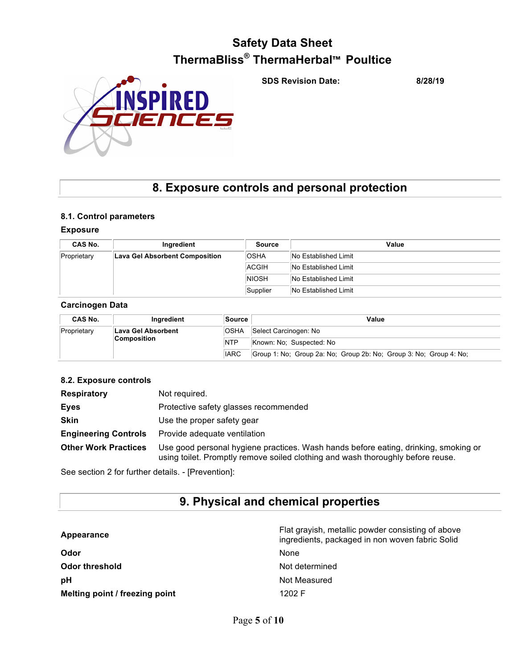**SDS Revision Date: 8/28/19**



## **8. Exposure controls and personal protection**

## **8.1. Control parameters**

## **Exposure**

| CAS No.     | Ingredient                            | Source       | Value                |
|-------------|---------------------------------------|--------------|----------------------|
| Proprietary | <b>Lava Gel Absorbent Composition</b> | <b>OSHA</b>  | No Established Limit |
|             |                                       | ACGIH        | No Established Limit |
|             |                                       | <b>NIOSH</b> | No Established Limit |
|             |                                       | Supplier     | No Established Limit |

#### **Carcinogen Data**

| <b>CAS No.</b> | Inaredient                  | Source      | Value                                                              |
|----------------|-----------------------------|-------------|--------------------------------------------------------------------|
| Proprietary    | 'OSHA<br>Lava Gel Absorbent |             | Select Carcinogen: No                                              |
|                | <b>Composition</b>          | <b>NTP</b>  | Known: No: Suspected: No                                           |
|                |                             | <b>IARC</b> | Group 1: No; Group 2a: No; Group 2b: No; Group 3: No; Group 4: No; |

## **8.2. Exposure controls**

| <b>Respiratory</b>          | Not required.                                                                                                                                                          |
|-----------------------------|------------------------------------------------------------------------------------------------------------------------------------------------------------------------|
| <b>Eves</b>                 | Protective safety glasses recommended                                                                                                                                  |
| <b>Skin</b>                 | Use the proper safety gear                                                                                                                                             |
| <b>Engineering Controls</b> | Provide adequate ventilation                                                                                                                                           |
| <b>Other Work Practices</b> | Use good personal hygiene practices. Wash hands before eating, drinking, smoking or<br>using toilet. Promptly remove soiled clothing and wash thoroughly before reuse. |

See section 2 for further details. - [Prevention]:

## **9. Physical and chemical properties**

| Appearance                     | Flat grayish, metallic powder consisting of above<br>ingredients, packaged in non woven fabric Solid |
|--------------------------------|------------------------------------------------------------------------------------------------------|
| Odor                           | None                                                                                                 |
| <b>Odor threshold</b>          | Not determined                                                                                       |
| рH                             | Not Measured                                                                                         |
| Melting point / freezing point | 1202 F                                                                                               |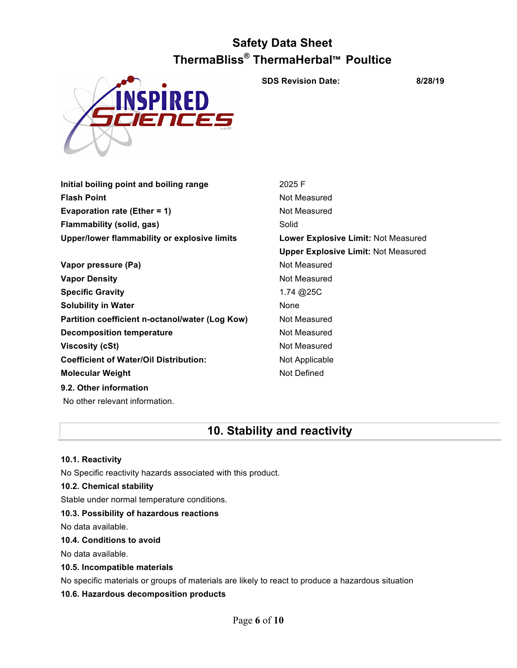

**SDS Revision Date: 8/28/19**

| Upper/lower flammability or explosive limits | Lower I |
|----------------------------------------------|---------|
| Flammability (solid, gas)                    | Solid   |
| Evaporation rate (Ether = $1$ )              | Not Mea |
| <b>Flash Point</b>                           | Not Mea |
| Initial boiling point and boiling range      | 2025 F  |

- **Vapor pressure (Pa)** Not Measured **Vapor Density Not Measured** Not Measured **Specific Gravity** 1.74 @25C **Solubility in Water** None **Partition coefficient n-octanol/water (Log Kow) Not Measured Decomposition temperature** Not Measured **Viscosity (cSt)** Not Measured **Coefficient of Water/Oil Distribution:** Not Applicable **Molecular Weight** Not Defined **9.2. Other information**
- **Not Measured Not Measured Lower Explosive Limit: Not Measured Upper Explosive Limit:** Not Measured

## **10. Stability and reactivity**

## **10.1. Reactivity**

No Specific reactivity hazards associated with this product.

## **10.2. Chemical stability**

No other relevant information.

Stable under normal temperature conditions.

## **10.3. Possibility of hazardous reactions**

No data available.

## **10.4. Conditions to avoid**

No data available.

## **10.5. Incompatible materials**

No specific materials or groups of materials are likely to react to produce a hazardous situation

## **10.6. Hazardous decomposition products**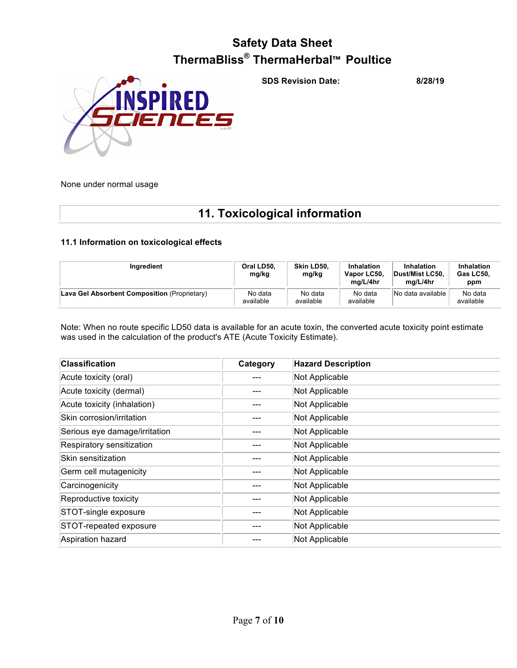RE

**SDS Revision Date: 8/28/19**

None under normal usage

## **11. Toxicological information**

## **11.1 Information on toxicological effects**

| Ingredient                                   | Oral LD50,<br>mg/kg  | Skin LD50.<br>mg/kg  | Inhalation<br>Vapor LC50.<br>mg/L/4hr | Inhalation<br>Dust/Mist LC50.<br>mg/L/4hr | <b>Inhalation</b><br>Gas LC50.<br>ppm |
|----------------------------------------------|----------------------|----------------------|---------------------------------------|-------------------------------------------|---------------------------------------|
| Lava Gel Absorbent Composition (Proprietary) | No data<br>available | No data<br>available | No data<br>available                  | No data available                         | No data<br>available                  |

Note: When no route specific LD50 data is available for an acute toxin, the converted acute toxicity point estimate was used in the calculation of the product's ATE (Acute Toxicity Estimate).

| <b>Classification</b>         | Category | <b>Hazard Description</b> |
|-------------------------------|----------|---------------------------|
| Acute toxicity (oral)         |          | Not Applicable            |
| Acute toxicity (dermal)       |          | Not Applicable            |
| Acute toxicity (inhalation)   |          | Not Applicable            |
| Skin corrosion/irritation     |          | Not Applicable            |
| Serious eye damage/irritation |          | Not Applicable            |
| Respiratory sensitization     |          | Not Applicable            |
| Skin sensitization            |          | Not Applicable            |
| Germ cell mutagenicity        |          | Not Applicable            |
| Carcinogenicity               |          | Not Applicable            |
| Reproductive toxicity         |          | Not Applicable            |
| STOT-single exposure          |          | Not Applicable            |
| STOT-repeated exposure        |          | Not Applicable            |
| Aspiration hazard             |          | Not Applicable            |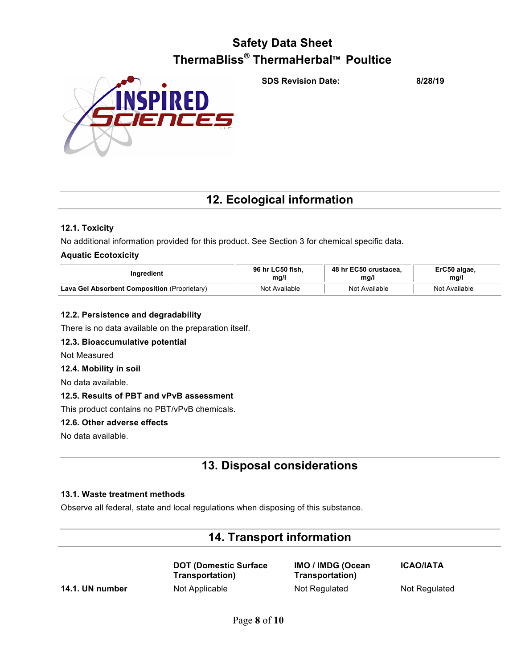**SDS Revision Date: 8/28/19**



## **12. Ecological information**

## **12.1. Toxicity**

No additional information provided for this product. See Section 3 for chemical specific data.

## **Aquatic Ecotoxicity**

| Ingredient                                   | 96 hr LC50 fish. | 48 hr EC50 crustacea. | ErC50 algae,  |
|----------------------------------------------|------------------|-----------------------|---------------|
|                                              | mg/l             | mq/l                  | mg/l          |
| Lava Gel Absorbent Composition (Proprietary) | Not Available    | Not Available         | Not Available |

## **12.2. Persistence and degradability**

There is no data available on the preparation itself.

## **12.3. Bioaccumulative potential**

Not Measured

## **12.4. Mobility in soil**

No data available.

## **12.5. Results of PBT and vPvB assessment**

This product contains no PBT/vPvB chemicals.

## **12.6. Other adverse effects**

No data available.

## **13. Disposal considerations**

## **13.1. Waste treatment methods**

Observe all federal, state and local regulations when disposing of this substance.

## **14. Transport information**

**DOT (Domestic Surface Transportation)**

**IMO / IMDG (Ocean Transportation) 14.1. UN number** Not Applicable Not Regulated Not Regulated

**ICAO/IATA**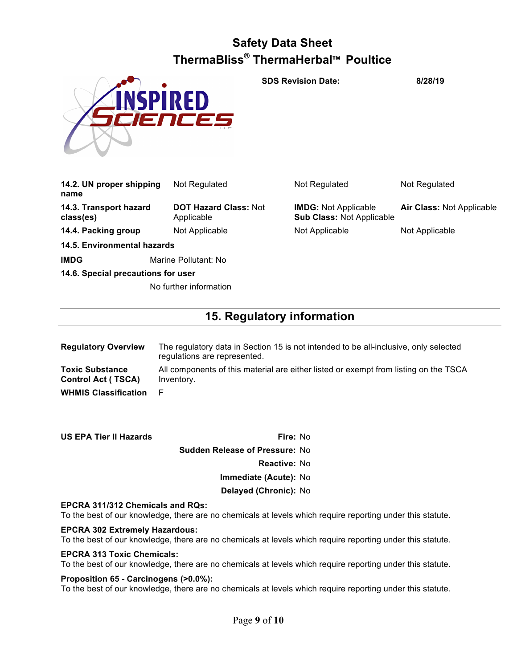

**SDS Revision Date: 8/28/19**

| 14.2. UN proper shipping<br>name    | Not Regulated                              | Not Regulated                                                   | Not Regulated             |
|-------------------------------------|--------------------------------------------|-----------------------------------------------------------------|---------------------------|
| 14.3. Transport hazard<br>class(es) | <b>DOT Hazard Class: Not</b><br>Applicable | <b>IMDG: Not Applicable</b><br><b>Sub Class: Not Applicable</b> | Air Class: Not Applicable |
| 14.4. Packing group                 | Not Applicable                             | Not Applicable                                                  | Not Applicable            |
| 14.5. Environmental hazards         |                                            |                                                                 |                           |
| <b>IMDG</b>                         | Marine Pollutant: No                       |                                                                 |                           |

**14.6. Special precautions for user**

No further information

## **15. Regulatory information**

| <b>Regulatory Overview</b>                          | The regulatory data in Section 15 is not intended to be all-inclusive, only selected<br>regulations are represented. |
|-----------------------------------------------------|----------------------------------------------------------------------------------------------------------------------|
| <b>Toxic Substance</b><br><b>Control Act (TSCA)</b> | All components of this material are either listed or exempt from listing on the TSCA<br>Inventory.                   |
| <b>WHMIS Classification</b>                         |                                                                                                                      |

| <b>US EPA Tier II Hazards</b> | Fire: No                              |
|-------------------------------|---------------------------------------|
|                               | <b>Sudden Release of Pressure: No</b> |
|                               | <b>Reactive: No</b>                   |
|                               | Immediate (Acute): No                 |
|                               | Delayed (Chronic): No                 |

## **EPCRA 311/312 Chemicals and RQs:**

To the best of our knowledge, there are no chemicals at levels which require reporting under this statute.

## **EPCRA 302 Extremely Hazardous:**

To the best of our knowledge, there are no chemicals at levels which require reporting under this statute.

## **EPCRA 313 Toxic Chemicals:**

To the best of our knowledge, there are no chemicals at levels which require reporting under this statute.

## **Proposition 65 - Carcinogens (>0.0%):**

To the best of our knowledge, there are no chemicals at levels which require reporting under this statute.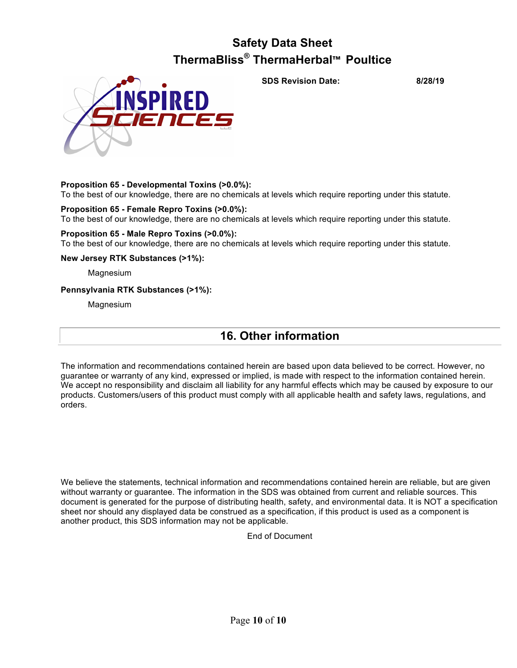## **Proposition 65 - Developmental Toxins (>0.0%):**

To the best of our knowledge, there are no chemicals at levels which require reporting under this statute.

## **Proposition 65 - Female Repro Toxins (>0.0%):**

To the best of our knowledge, there are no chemicals at levels which require reporting under this statute.

## **Proposition 65 - Male Repro Toxins (>0.0%):**

To the best of our knowledge, there are no chemicals at levels which require reporting under this statute.

## **New Jersey RTK Substances (>1%):**

Magnesium

## **Pennsylvania RTK Substances (>1%):**

Magnesium

## **16. Other information**

The information and recommendations contained herein are based upon data believed to be correct. However, no guarantee or warranty of any kind, expressed or implied, is made with respect to the information contained herein. We accept no responsibility and disclaim all liability for any harmful effects which may be caused by exposure to our products. Customers/users of this product must comply with all applicable health and safety laws, regulations, and orders.

We believe the statements, technical information and recommendations contained herein are reliable, but are given without warranty or guarantee. The information in the SDS was obtained from current and reliable sources. This document is generated for the purpose of distributing health, safety, and environmental data. It is NOT a specification sheet nor should any displayed data be construed as a specification, if this product is used as a component is another product, this SDS information may not be applicable.

End of Document

**SDS Revision Date: 8/28/19**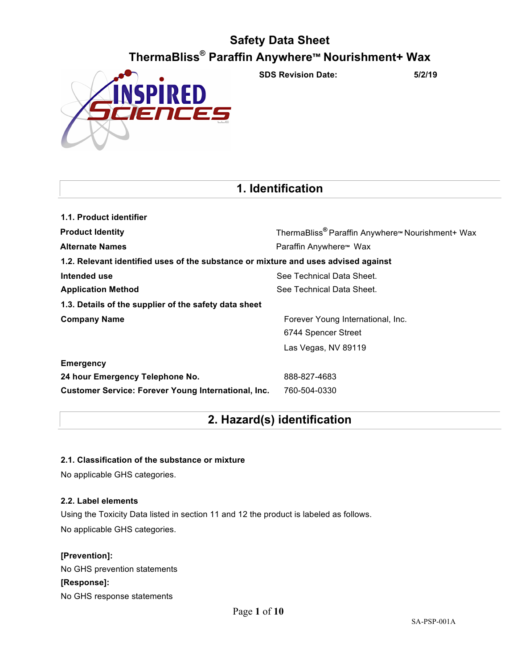

**SDS Revision Date: 5/2/19**

## **1. Identification**

| 1.1. Product identifier                                                            |                                                                          |  |  |  |
|------------------------------------------------------------------------------------|--------------------------------------------------------------------------|--|--|--|
| <b>Product Identity</b>                                                            | ThermaBliss <sup>®</sup> Paraffin Anywhere <sup>™</sup> Nourishment+ Wax |  |  |  |
| <b>Alternate Names</b>                                                             | Paraffin Anywhere™ Wax                                                   |  |  |  |
| 1.2. Relevant identified uses of the substance or mixture and uses advised against |                                                                          |  |  |  |
| Intended use                                                                       | See Technical Data Sheet.                                                |  |  |  |
| <b>Application Method</b>                                                          | See Technical Data Sheet.                                                |  |  |  |
| 1.3. Details of the supplier of the safety data sheet                              |                                                                          |  |  |  |
| <b>Company Name</b>                                                                | Forever Young International, Inc.                                        |  |  |  |
|                                                                                    | 6744 Spencer Street                                                      |  |  |  |
|                                                                                    | Las Vegas, NV 89119                                                      |  |  |  |
| <b>Emergency</b>                                                                   |                                                                          |  |  |  |
| 24 hour Emergency Telephone No.                                                    | 888-827-4683                                                             |  |  |  |
| <b>Customer Service: Forever Young International, Inc.</b>                         | 760-504-0330                                                             |  |  |  |

## **2. Hazard(s) identification**

## **2.1. Classification of the substance or mixture**

No applicable GHS categories.

## **2.2. Label elements**

Using the Toxicity Data listed in section 11 and 12 the product is labeled as follows. No applicable GHS categories.

## **[Prevention]:**

No GHS prevention statements **[Response]:** No GHS response statements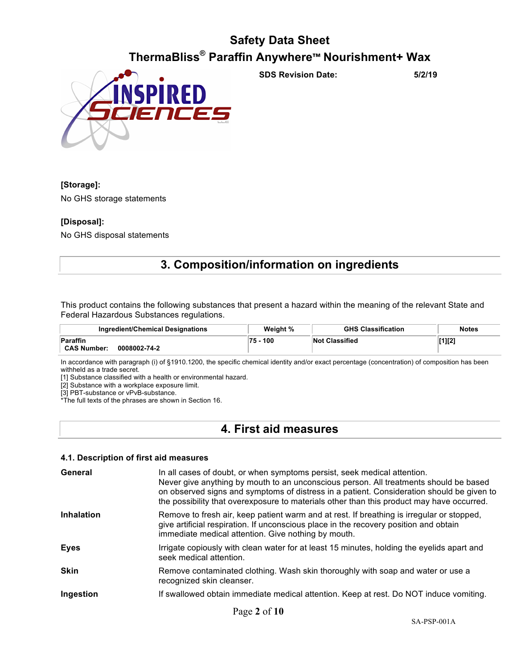

**SDS Revision Date: 5/2/19**

## **[Storage]:**

No GHS storage statements

## **[Disposal]:**

No GHS disposal statements

## **3. Composition/information on ingredients**

This product contains the following substances that present a hazard within the meaning of the relevant State and Federal Hazardous Substances regulations.

| Ingredient/Chemical Designations               | Weight %  | <b>GHS Classification</b> | <b>Notes</b> |
|------------------------------------------------|-----------|---------------------------|--------------|
| Paraffin<br><b>CAS Number:</b><br>0008002-74-2 | 100<br>75 | <b>Not Classified</b>     | [1][2]       |
|                                                |           |                           |              |

In accordance with paragraph (i) of §1910.1200, the specific chemical identity and/or exact percentage (concentration) of composition has been withheld as a trade secret.

[1] Substance classified with a health or environmental hazard.

[2] Substance with a workplace exposure limit.

[3] PBT-substance or vPvB-substance.

\*The full texts of the phrases are shown in Section 16.

## **4. First aid measures**

## **4.1. Description of first aid measures**

| General           | In all cases of doubt, or when symptoms persist, seek medical attention.<br>Never give anything by mouth to an unconscious person. All treatments should be based<br>on observed signs and symptoms of distress in a patient. Consideration should be given to<br>the possibility that overexposure to materials other than this product may have occurred. |
|-------------------|-------------------------------------------------------------------------------------------------------------------------------------------------------------------------------------------------------------------------------------------------------------------------------------------------------------------------------------------------------------|
| <b>Inhalation</b> | Remove to fresh air, keep patient warm and at rest. If breathing is irregular or stopped,<br>give artificial respiration. If unconscious place in the recovery position and obtain<br>immediate medical attention. Give nothing by mouth.                                                                                                                   |
| <b>Eyes</b>       | Irrigate copiously with clean water for at least 15 minutes, holding the eyelids apart and<br>seek medical attention.                                                                                                                                                                                                                                       |
| <b>Skin</b>       | Remove contaminated clothing. Wash skin thoroughly with soap and water or use a<br>recognized skin cleanser.                                                                                                                                                                                                                                                |
| Ingestion         | If swallowed obtain immediate medical attention. Keep at rest. Do NOT induce vomiting.                                                                                                                                                                                                                                                                      |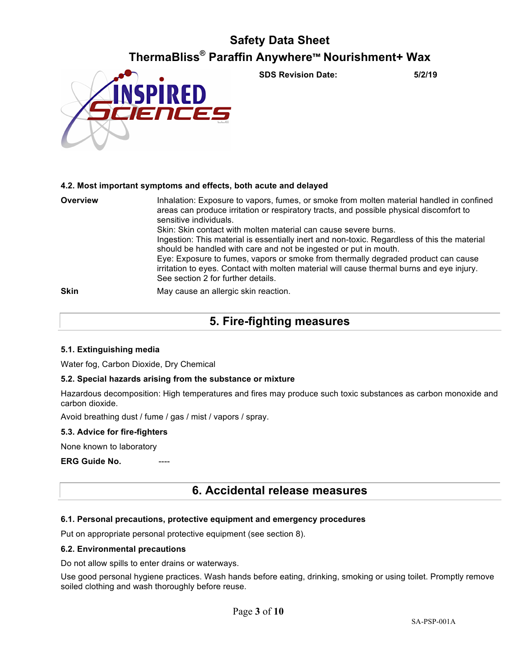

**SDS Revision Date: 5/2/19**

## **4.2. Most important symptoms and effects, both acute and delayed**

| Overview    | Inhalation: Exposure to vapors, fumes, or smoke from molten material handled in confined<br>areas can produce irritation or respiratory tracts, and possible physical discomfort to<br>sensitive individuals.<br>Skin: Skin contact with molten material can cause severe burns.<br>Ingestion: This material is essentially inert and non-toxic. Regardless of this the material<br>should be handled with care and not be ingested or put in mouth.<br>Eye: Exposure to fumes, vapors or smoke from thermally degraded product can cause<br>irritation to eyes. Contact with molten material will cause thermal burns and eye injury.<br>See section 2 for further details. |
|-------------|------------------------------------------------------------------------------------------------------------------------------------------------------------------------------------------------------------------------------------------------------------------------------------------------------------------------------------------------------------------------------------------------------------------------------------------------------------------------------------------------------------------------------------------------------------------------------------------------------------------------------------------------------------------------------|
| <b>Skin</b> | May cause an allergic skin reaction.                                                                                                                                                                                                                                                                                                                                                                                                                                                                                                                                                                                                                                         |

## **5. Fire-fighting measures**

## **5.1. Extinguishing media**

Water fog, Carbon Dioxide, Dry Chemical

## **5.2. Special hazards arising from the substance or mixture**

Hazardous decomposition: High temperatures and fires may produce such toxic substances as carbon monoxide and carbon dioxide.

Avoid breathing dust / fume / gas / mist / vapors / spray.

## **5.3. Advice for fire-fighters**

None known to laboratory

**ERG Guide No.** 

## **6. Accidental release measures**

## **6.1. Personal precautions, protective equipment and emergency procedures**

Put on appropriate personal protective equipment (see section 8).

## **6.2. Environmental precautions**

Do not allow spills to enter drains or waterways.

Use good personal hygiene practices. Wash hands before eating, drinking, smoking or using toilet. Promptly remove soiled clothing and wash thoroughly before reuse.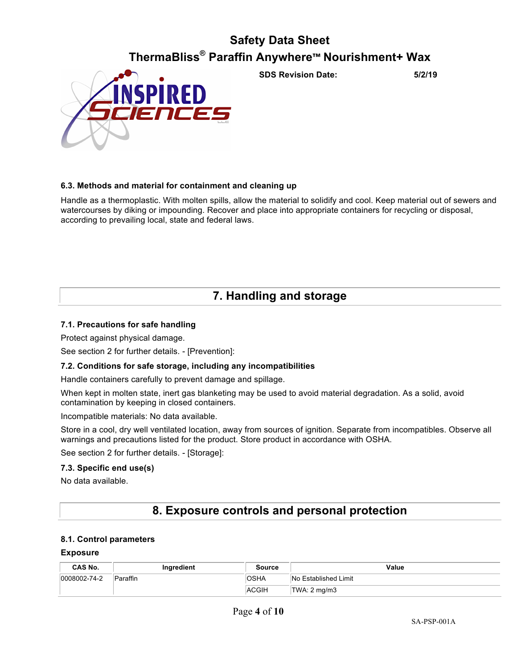

**SDS Revision Date: 5/2/19**

## **6.3. Methods and material for containment and cleaning up**

Handle as a thermoplastic. With molten spills, allow the material to solidify and cool. Keep material out of sewers and watercourses by diking or impounding. Recover and place into appropriate containers for recycling or disposal, according to prevailing local, state and federal laws.

## **7. Handling and storage**

## **7.1. Precautions for safe handling**

Protect against physical damage.

See section 2 for further details. - [Prevention]:

## **7.2. Conditions for safe storage, including any incompatibilities**

Handle containers carefully to prevent damage and spillage.

When kept in molten state, inert gas blanketing may be used to avoid material degradation. As a solid, avoid contamination by keeping in closed containers.

Incompatible materials: No data available.

Store in a cool, dry well ventilated location, away from sources of ignition. Separate from incompatibles. Observe all warnings and precautions listed for the product. Store product in accordance with OSHA.

See section 2 for further details. - [Storage]:

#### **7.3. Specific end use(s)**

No data available.

## **8. Exposure controls and personal protection**

#### **8.1. Control parameters**

#### **Exposure**

| CAS No.      | Ingredient | Source      | Value                |
|--------------|------------|-------------|----------------------|
| 0008002-74-2 | Paraffin   | <b>OSHA</b> | No Established Limit |
|              |            | ACGIH       | TWA: 2 mg/m3         |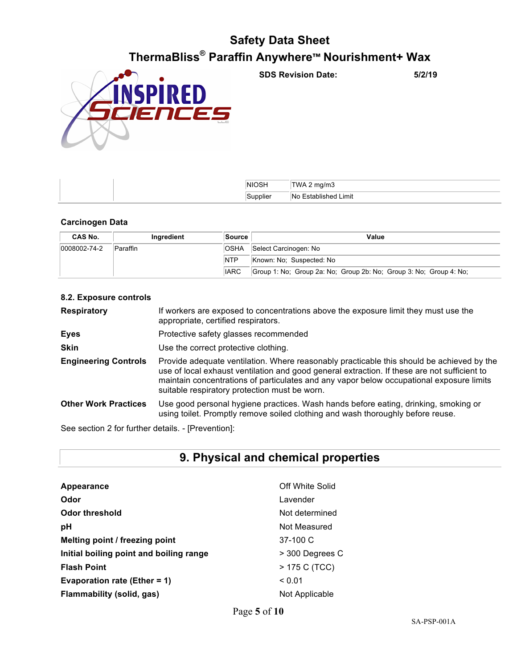

**SDS Revision Date: 5/2/19**

| <b>NIOSH</b> | ma/m3                                  |
|--------------|----------------------------------------|
| Supplier     | $\cdot$<br>Limit<br>∣No<br>Established |

## **Carcinogen Data**

| CAS No.              | Ingredient      | Source      | Value                                                              |
|----------------------|-----------------|-------------|--------------------------------------------------------------------|
| $ 0008002 - 74 - 2 $ | <b>Paraffin</b> | 'OSHA       | Select Carcinogen: No                                              |
|                      |                 | <b>NTP</b>  | Known: No: Suspected: No                                           |
|                      |                 | <b>IARC</b> | Group 1: No; Group 2a: No; Group 2b: No; Group 3: No; Group 4: No; |

| 8.2. Exposure controls      |                                                                                                                                                                                                                                                                                                                                        |
|-----------------------------|----------------------------------------------------------------------------------------------------------------------------------------------------------------------------------------------------------------------------------------------------------------------------------------------------------------------------------------|
| <b>Respiratory</b>          | If workers are exposed to concentrations above the exposure limit they must use the<br>appropriate, certified respirators.                                                                                                                                                                                                             |
| <b>Eyes</b>                 | Protective safety glasses recommended                                                                                                                                                                                                                                                                                                  |
| <b>Skin</b>                 | Use the correct protective clothing.                                                                                                                                                                                                                                                                                                   |
| <b>Engineering Controls</b> | Provide adequate ventilation. Where reasonably practicable this should be achieved by the<br>use of local exhaust ventilation and good general extraction. If these are not sufficient to<br>maintain concentrations of particulates and any vapor below occupational exposure limits<br>suitable respiratory protection must be worn. |
| <b>Other Work Practices</b> | Use good personal hygiene practices. Wash hands before eating, drinking, smoking or<br>using toilet. Promptly remove soiled clothing and wash thoroughly before reuse.                                                                                                                                                                 |
|                             |                                                                                                                                                                                                                                                                                                                                        |

See section 2 for further details. - [Prevention]:

## **9. Physical and chemical properties**

| Appearance                              | Off White Solid |
|-----------------------------------------|-----------------|
| Odor                                    | Lavender        |
| Odor threshold                          | Not determined  |
| рH                                      | Not Measured    |
| Melting point / freezing point          | 37-100 C        |
| Initial boiling point and boiling range | > 300 Degrees C |
| <b>Flash Point</b>                      | > 175 C (TCC)   |
| <b>Evaporation rate (Ether = 1)</b>     | ${}_{0.01}$     |
| Flammability (solid, gas)               | Not Applicable  |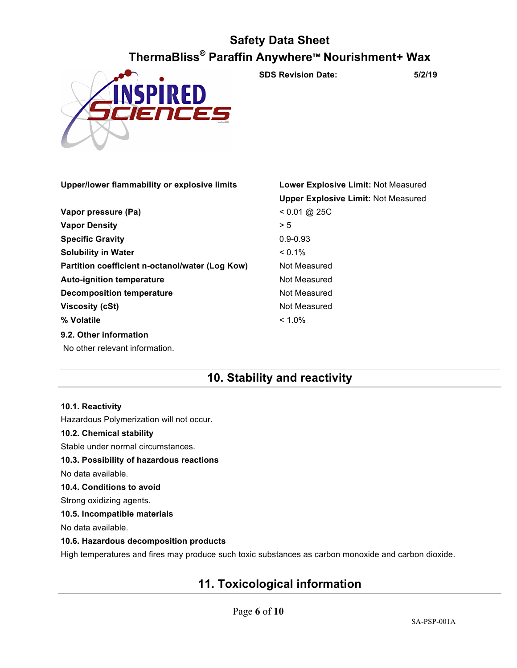

**SDS Revision Date: 5/2/19**

|                                                 | <b>Upper Explosive Limit: Not Measured</b> |
|-------------------------------------------------|--------------------------------------------|
| Vapor pressure (Pa)                             | $< 0.01 \text{ @ } 25 \text{C}$            |
| <b>Vapor Density</b>                            | > 5                                        |
| <b>Specific Gravity</b>                         | $0.9 - 0.93$                               |
| <b>Solubility in Water</b>                      | $< 0.1\%$                                  |
| Partition coefficient n-octanol/water (Log Kow) | Not Measured                               |
| <b>Auto-ignition temperature</b>                | Not Measured                               |
| <b>Decomposition temperature</b>                | Not Measured                               |
| Viscosity (cSt)                                 | Not Measured                               |
| % Volatile                                      | $< 1.0\%$                                  |
| 9.2. Other information                          |                                            |
| No other relevant information.                  |                                            |

**Upper/lower flammability or explosive limits Lower Explosive Limit:** Not Measured

## **10. Stability and reactivity**

## **10.1. Reactivity**

Hazardous Polymerization will not occur.

## **10.2. Chemical stability**

Stable under normal circumstances.

## **10.3. Possibility of hazardous reactions**

No data available.

## **10.4. Conditions to avoid**

Strong oxidizing agents.

## **10.5. Incompatible materials**

No data available.

## **10.6. Hazardous decomposition products**

High temperatures and fires may produce such toxic substances as carbon monoxide and carbon dioxide.

## **11. Toxicological information**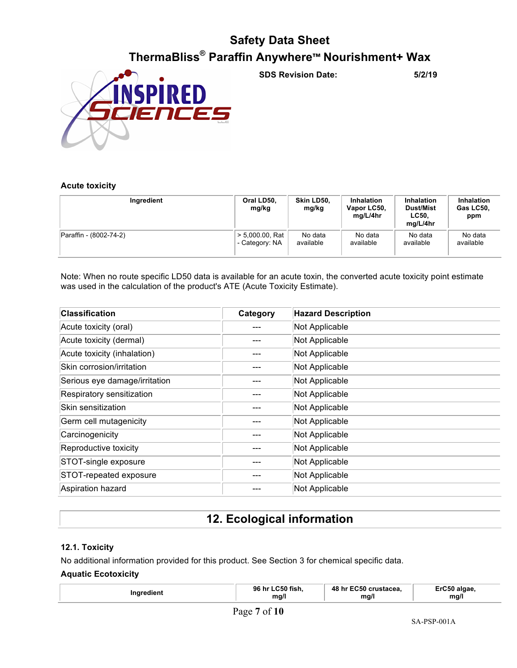

**SDS Revision Date: 5/2/19**

## **Acute toxicity**

| Ingredient             | Oral LD50,<br>mg/kg | Skin LD50.<br>mg/kg | <b>Inhalation</b><br>Vapor LC50,<br>mg/L/4hr | <b>Inhalation</b><br>Dust/Mist<br><b>LC50.</b><br>mg/L/4hr | <b>Inhalation</b><br>Gas LC50.<br>ppm |
|------------------------|---------------------|---------------------|----------------------------------------------|------------------------------------------------------------|---------------------------------------|
| Paraffin - (8002-74-2) | $> 5,000.00$ , Rat  | No data             | No data                                      | No data                                                    | No data                               |
|                        | - Category: NA      | available           | available                                    | available                                                  | available                             |

Note: When no route specific LD50 data is available for an acute toxin, the converted acute toxicity point estimate was used in the calculation of the product's ATE (Acute Toxicity Estimate).

| <b>Classification</b>         | Category | <b>Hazard Description</b> |
|-------------------------------|----------|---------------------------|
| Acute toxicity (oral)         |          | Not Applicable            |
| Acute toxicity (dermal)       |          | Not Applicable            |
| Acute toxicity (inhalation)   |          | Not Applicable            |
| Skin corrosion/irritation     |          | Not Applicable            |
| Serious eye damage/irritation |          | Not Applicable            |
| Respiratory sensitization     |          | Not Applicable            |
| Skin sensitization            |          | Not Applicable            |
| Germ cell mutagenicity        |          | Not Applicable            |
| Carcinogenicity               |          | Not Applicable            |
| Reproductive toxicity         |          | Not Applicable            |
| STOT-single exposure          |          | Not Applicable            |
| STOT-repeated exposure        |          | Not Applicable            |
| Aspiration hazard             |          | Not Applicable            |

## **12. Ecological information**

## **12.1. Toxicity**

No additional information provided for this product. See Section 3 for chemical specific data.

## **Aquatic Ecotoxicity**

| ™^dient | <b>LC50 fish.</b><br>96<br>hr<br>ma/l | <b>EC50</b><br><b>48</b><br>`crustacea.<br>ma/l | 'algae.<br>- -<br>ma/l |
|---------|---------------------------------------|-------------------------------------------------|------------------------|
|---------|---------------------------------------|-------------------------------------------------|------------------------|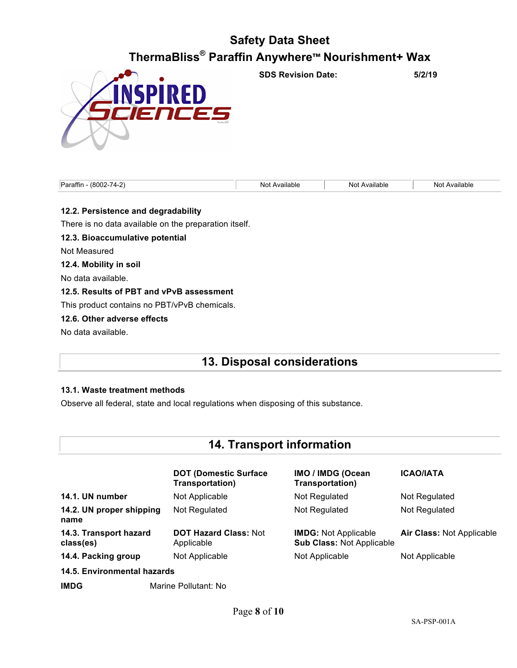

**SDS Revision Date: 5/2/19**

| Paraffir.<br>$\sim$<br>- ‹‹ 800^<br>- | <i>v</i> ailable<br>NΩ | Available<br>Not<br>. | ailable<br>No <sup>+</sup> |
|---------------------------------------|------------------------|-----------------------|----------------------------|
|                                       |                        |                       |                            |

## **12.2. Persistence and degradability**

There is no data available on the preparation itself.

**12.3. Bioaccumulative potential**

Not Measured

**12.4. Mobility in soil**

No data available.

## **12.5. Results of PBT and vPvB assessment**

This product contains no PBT/vPvB chemicals.

## **12.6. Other adverse effects**

No data available.

## **13. Disposal considerations**

## **13.1. Waste treatment methods**

Observe all federal, state and local regulations when disposing of this substance.

## **14. Transport information**

|                                     | <b>DOT (Domestic Surface)</b><br>Transportation) | <b>IMO / IMDG (Ocean</b><br>Transportation)                     | <b>ICAO/IATA</b>                 |
|-------------------------------------|--------------------------------------------------|-----------------------------------------------------------------|----------------------------------|
| 14.1. UN number                     | Not Applicable                                   | Not Regulated                                                   | Not Regulated                    |
| 14.2. UN proper shipping<br>name    | Not Regulated                                    | Not Regulated                                                   | Not Regulated                    |
| 14.3. Transport hazard<br>class(es) | <b>DOT Hazard Class: Not</b><br>Applicable       | <b>IMDG:</b> Not Applicable<br><b>Sub Class: Not Applicable</b> | <b>Air Class: Not Applicable</b> |
| 14.4. Packing group                 | Not Applicable                                   | Not Applicable                                                  | Not Applicable                   |
| 14.5. Environmental hazards         |                                                  |                                                                 |                                  |
| <b>IMDG</b>                         | Marine Pollutant: No                             |                                                                 |                                  |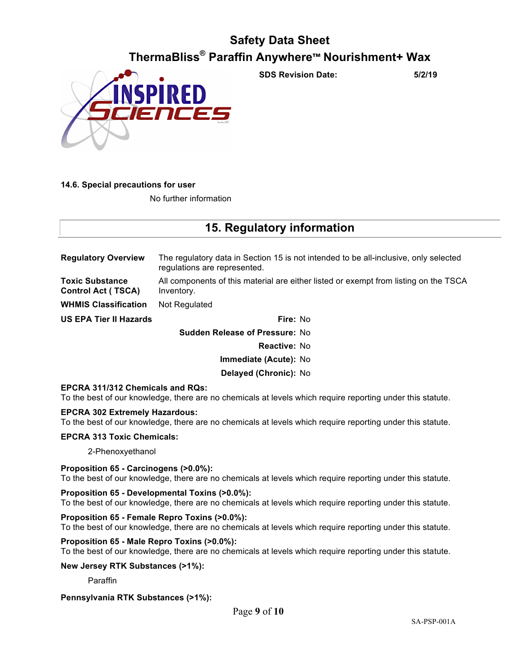

**SDS Revision Date: 5/2/19**

## **14.6. Special precautions for user**

No further information

## **15. Regulatory information**

**Regulatory Overview** The regulatory data in Section 15 is not intended to be all-inclusive, only selected regulations are represented. **Toxic Substance Control Act ( TSCA)** All components of this material are either listed or exempt from listing on the TSCA Inventory. **WHMIS Classification** Not Regulated **US EPA Tier II Hazards Fire:** No

> **Sudden Release of Pressure:** No **Reactive:** No **Immediate (Acute):** No

## **Delayed (Chronic):** No

## **EPCRA 311/312 Chemicals and RQs:**

To the best of our knowledge, there are no chemicals at levels which require reporting under this statute.

## **EPCRA 302 Extremely Hazardous:**

To the best of our knowledge, there are no chemicals at levels which require reporting under this statute.

#### **EPCRA 313 Toxic Chemicals:**

2-Phenoxyethanol

## **Proposition 65 - Carcinogens (>0.0%):**

To the best of our knowledge, there are no chemicals at levels which require reporting under this statute.

#### **Proposition 65 - Developmental Toxins (>0.0%):**

To the best of our knowledge, there are no chemicals at levels which require reporting under this statute.

#### **Proposition 65 - Female Repro Toxins (>0.0%):**

To the best of our knowledge, there are no chemicals at levels which require reporting under this statute.

## **Proposition 65 - Male Repro Toxins (>0.0%):**

To the best of our knowledge, there are no chemicals at levels which require reporting under this statute.

#### **New Jersey RTK Substances (>1%):**

Paraffin

## **Pennsylvania RTK Substances (>1%):**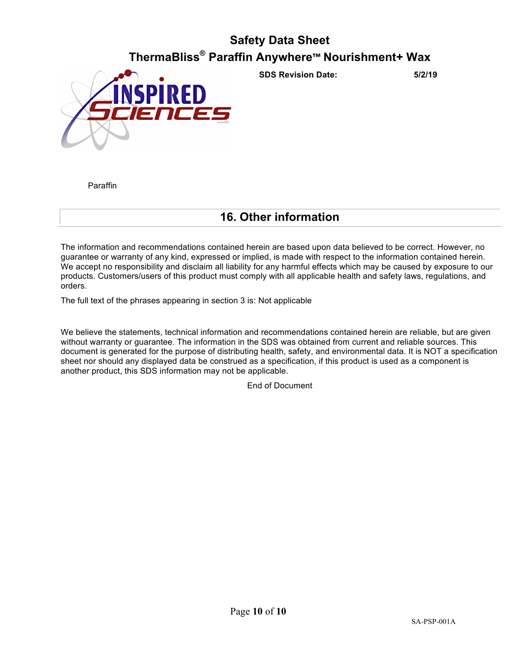

**SDS Revision Date: 5/2/19**

Paraffin

## **16. Other information**

The information and recommendations contained herein are based upon data believed to be correct. However, no guarantee or warranty of any kind, expressed or implied, is made with respect to the information contained herein. We accept no responsibility and disclaim all liability for any harmful effects which may be caused by exposure to our products. Customers/users of this product must comply with all applicable health and safety laws, regulations, and orders.

The full text of the phrases appearing in section 3 is: Not applicable

We believe the statements, technical information and recommendations contained herein are reliable, but are given without warranty or guarantee. The information in the SDS was obtained from current and reliable sources. This document is generated for the purpose of distributing health, safety, and environmental data. It is NOT a specification sheet nor should any displayed data be construed as a specification, if this product is used as a component is another product, this SDS information may not be applicable.

End of Document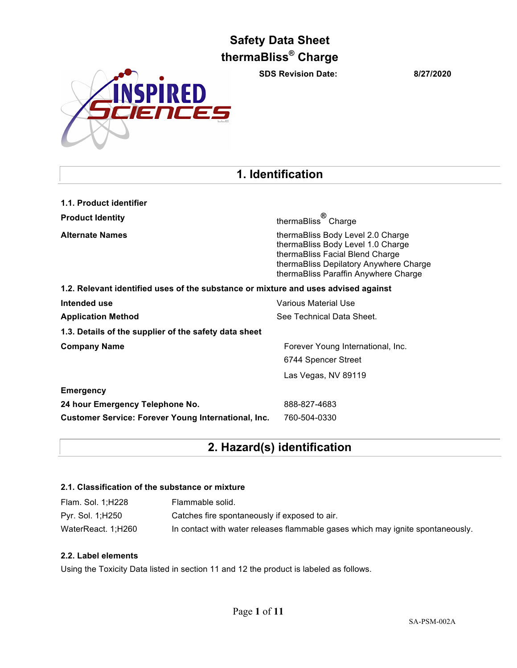**SDS Revision Date: 8/27/2020**



## **1. Identification**

| 1.1. Product identifier                                                            |                                                                                                                                                                                             |
|------------------------------------------------------------------------------------|---------------------------------------------------------------------------------------------------------------------------------------------------------------------------------------------|
| <b>Product Identity</b>                                                            | thermaBliss <sup>®</sup> Charge                                                                                                                                                             |
| <b>Alternate Names</b>                                                             | thermaBliss Body Level 2.0 Charge<br>thermaBliss Body Level 1.0 Charge<br>thermaBliss Facial Blend Charge<br>thermaBliss Depilatory Anywhere Charge<br>thermaBliss Paraffin Anywhere Charge |
| 1.2. Relevant identified uses of the substance or mixture and uses advised against |                                                                                                                                                                                             |
| Intended use                                                                       | Various Material Use                                                                                                                                                                        |
| <b>Application Method</b>                                                          | See Technical Data Sheet.                                                                                                                                                                   |
| 1.3. Details of the supplier of the safety data sheet                              |                                                                                                                                                                                             |
| <b>Company Name</b>                                                                | Forever Young International, Inc.                                                                                                                                                           |
|                                                                                    | 6744 Spencer Street                                                                                                                                                                         |
|                                                                                    | Las Vegas, NV 89119                                                                                                                                                                         |
| <b>Emergency</b>                                                                   |                                                                                                                                                                                             |
| 24 hour Emergency Telephone No.                                                    | 888-827-4683                                                                                                                                                                                |
| <b>Customer Service: Forever Young International, Inc.</b>                         | 760-504-0330                                                                                                                                                                                |

## **2. Hazard(s) identification**

## **2.1. Classification of the substance or mixture**

| Flam. Sol. 1; H228 | Flammable solid.                                                               |
|--------------------|--------------------------------------------------------------------------------|
| Pyr. Sol. 1;H250   | Catches fire spontaneously if exposed to air.                                  |
| WaterReact. 1;H260 | In contact with water releases flammable gases which may ignite spontaneously. |

## **2.2. Label elements**

Using the Toxicity Data listed in section 11 and 12 the product is labeled as follows.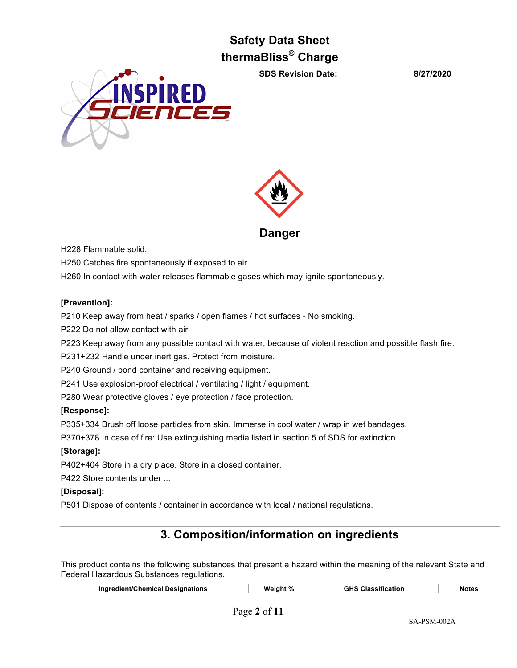**SDS Revision Date: 8/27/2020**





**Danger**

H228 Flammable solid.

H250 Catches fire spontaneously if exposed to air.

H260 In contact with water releases flammable gases which may ignite spontaneously.

## **[Prevention]:**

P210 Keep away from heat / sparks / open flames / hot surfaces - No smoking.

P222 Do not allow contact with air.

P223 Keep away from any possible contact with water, because of violent reaction and possible flash fire.

P231+232 Handle under inert gas. Protect from moisture.

P240 Ground / bond container and receiving equipment.

P241 Use explosion-proof electrical / ventilating / light / equipment.

P280 Wear protective gloves / eye protection / face protection.

## **[Response]:**

P335+334 Brush off loose particles from skin. Immerse in cool water / wrap in wet bandages.

P370+378 In case of fire: Use extinguishing media listed in section 5 of SDS for extinction.

## **[Storage]:**

P402+404 Store in a dry place. Store in a closed container.

P422 Store contents under ...

## **[Disposal]:**

P501 Dispose of contents / container in accordance with local / national regulations.

## **3. Composition/information on ingredients**

This product contains the following substances that present a hazard within the meaning of the relevant State and Federal Hazardous Substances regulations.

| Ingredient/Chemical Designations | Wei∩ht | .<br>GHS<br>≏ation<br>esition.<br>. | Notes |
|----------------------------------|--------|-------------------------------------|-------|
|                                  |        |                                     |       |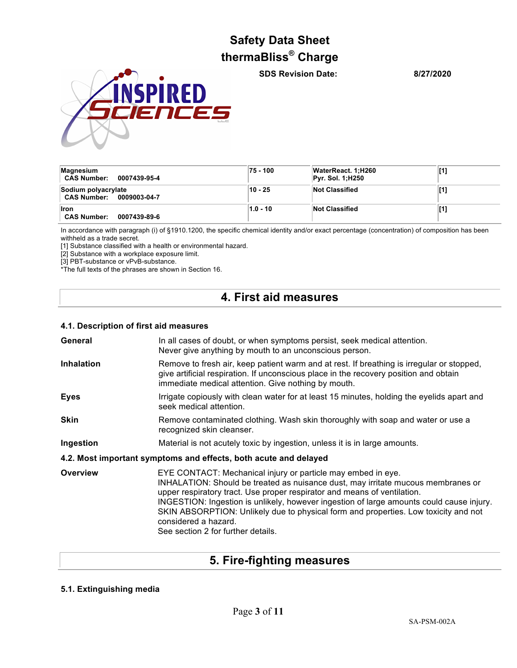**INSPIRED** ENCES

**SDS Revision Date: 8/27/2020**

| Magnesium<br><b>CAS Number:</b><br>0007439-95-4   | 75 - 100   | WaterReact. 1:H260<br><b>Pyr. Sol. 1;H250</b> | [1] |
|---------------------------------------------------|------------|-----------------------------------------------|-----|
| Sodium polyacrylate<br>CAS Number: 0009003-04-7   | 10 - 25    | <b>Not Classified</b>                         |     |
| <b>Iron</b><br><b>CAS Number:</b><br>0007439-89-6 | $1.0 - 10$ | <b>Not Classified</b>                         |     |

In accordance with paragraph (i) of §1910.1200, the specific chemical identity and/or exact percentage (concentration) of composition has been withheld as a trade secret.

[1] Substance classified with a health or environmental hazard.

[2] Substance with a workplace exposure limit.

[3] PBT-substance or vPvB-substance.

\*The full texts of the phrases are shown in Section 16.

## **4. First aid measures**

## **4.1. Description of first aid measures**

| General           | In all cases of doubt, or when symptoms persist, seek medical attention.<br>Never give anything by mouth to an unconscious person.                                                                                                                                                                                                                                                                                                                                            |  |
|-------------------|-------------------------------------------------------------------------------------------------------------------------------------------------------------------------------------------------------------------------------------------------------------------------------------------------------------------------------------------------------------------------------------------------------------------------------------------------------------------------------|--|
| <b>Inhalation</b> | Remove to fresh air, keep patient warm and at rest. If breathing is irregular or stopped,<br>give artificial respiration. If unconscious place in the recovery position and obtain<br>immediate medical attention. Give nothing by mouth.                                                                                                                                                                                                                                     |  |
| <b>Eyes</b>       | Irrigate copiously with clean water for at least 15 minutes, holding the eyelids apart and<br>seek medical attention.                                                                                                                                                                                                                                                                                                                                                         |  |
| <b>Skin</b>       | Remove contaminated clothing. Wash skin thoroughly with soap and water or use a<br>recognized skin cleanser.                                                                                                                                                                                                                                                                                                                                                                  |  |
| Ingestion         | Material is not acutely toxic by ingestion, unless it is in large amounts.                                                                                                                                                                                                                                                                                                                                                                                                    |  |
|                   | 4.2. Most important symptoms and effects, both acute and delayed                                                                                                                                                                                                                                                                                                                                                                                                              |  |
| Overview          | EYE CONTACT: Mechanical injury or particle may embed in eye.<br>INHALATION: Should be treated as nuisance dust, may irritate mucous membranes or<br>upper respiratory tract. Use proper respirator and means of ventilation.<br>INGESTION: Ingestion is unlikely, however ingestion of large amounts could cause injury.<br>SKIN ABSORPTION: Unlikely due to physical form and properties. Low toxicity and not<br>considered a hazard.<br>See section 2 for further details. |  |

## **5. Fire-fighting measures**

## **5.1. Extinguishing media**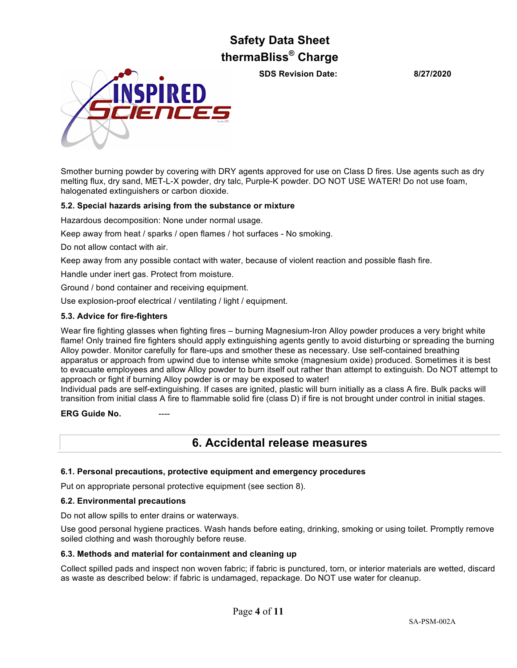**SDS Revision Date: 8/27/2020**



Smother burning powder by covering with DRY agents approved for use on Class D fires. Use agents such as dry melting flux, dry sand, MET-L-X powder, dry talc, Purple-K powder. DO NOT USE WATER! Do not use foam, halogenated extinguishers or carbon dioxide.

## **5.2. Special hazards arising from the substance or mixture**

Hazardous decomposition: None under normal usage.

Keep away from heat / sparks / open flames / hot surfaces - No smoking.

Do not allow contact with air.

Keep away from any possible contact with water, because of violent reaction and possible flash fire.

Handle under inert gas. Protect from moisture.

Ground / bond container and receiving equipment.

Use explosion-proof electrical / ventilating / light / equipment.

## **5.3. Advice for fire-fighters**

Wear fire fighting glasses when fighting fires – burning Magnesium-Iron Alloy powder produces a very bright white flame! Only trained fire fighters should apply extinguishing agents gently to avoid disturbing or spreading the burning Alloy powder. Monitor carefully for flare-ups and smother these as necessary. Use self-contained breathing apparatus or approach from upwind due to intense white smoke (magnesium oxide) produced. Sometimes it is best to evacuate employees and allow Alloy powder to burn itself out rather than attempt to extinguish. Do NOT attempt to approach or fight if burning Alloy powder is or may be exposed to water!

Individual pads are self-extinguishing. If cases are ignited, plastic will burn initially as a class A fire. Bulk packs will transition from initial class A fire to flammable solid fire (class D) if fire is not brought under control in initial stages.

**ERG Guide No.** 

## **6. Accidental release measures**

## **6.1. Personal precautions, protective equipment and emergency procedures**

Put on appropriate personal protective equipment (see section 8).

## **6.2. Environmental precautions**

Do not allow spills to enter drains or waterways.

Use good personal hygiene practices. Wash hands before eating, drinking, smoking or using toilet. Promptly remove soiled clothing and wash thoroughly before reuse.

## **6.3. Methods and material for containment and cleaning up**

Collect spilled pads and inspect non woven fabric; if fabric is punctured, torn, or interior materials are wetted, discard as waste as described below: if fabric is undamaged, repackage. Do NOT use water for cleanup.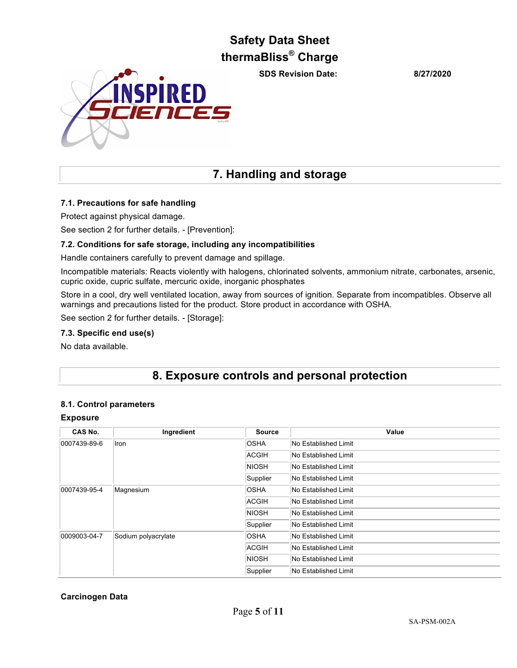**SDS Revision Date: 8/27/2020**



## **7. Handling and storage**

## **7.1. Precautions for safe handling**

Protect against physical damage.

See section 2 for further details. - [Prevention]:

## **7.2. Conditions for safe storage, including any incompatibilities**

Handle containers carefully to prevent damage and spillage.

Incompatible materials: Reacts violently with halogens, chlorinated solvents, ammonium nitrate, carbonates, arsenic, cupric oxide, cupric sulfate, mercuric oxide, inorganic phosphates

Store in a cool, dry well ventilated location, away from sources of ignition. Separate from incompatibles. Observe all warnings and precautions listed for the product. Store product in accordance with OSHA.

See section 2 for further details. - [Storage]:

## **7.3. Specific end use(s)**

No data available.

## **8. Exposure controls and personal protection**

## **8.1. Control parameters**

## **Exposure**

| CAS No.      | Ingredient          | <b>Source</b> | Value                 |
|--------------|---------------------|---------------|-----------------------|
| 0007439-89-6 | Iron                | <b>OSHA</b>   | No Established Limit  |
|              |                     | <b>ACGIH</b>  | No Established Limit  |
|              |                     | <b>NIOSH</b>  | No Established Limit  |
|              |                     | Supplier      | No Established Limit  |
| 0007439-95-4 | Magnesium           | <b>OSHA</b>   | No Established Limit  |
|              |                     | <b>ACGIH</b>  | No Established Limit  |
|              |                     | <b>NIOSH</b>  | No Established Limit  |
|              |                     | Supplier      | lNo Established Limit |
| 0009003-04-7 | Sodium polyacrylate | <b>OSHA</b>   | No Established Limit  |
|              |                     | <b>ACGIH</b>  | No Established Limit  |
|              |                     | <b>NIOSH</b>  | No Established Limit  |
|              |                     | Supplier      | No Established Limit  |

## **Carcinogen Data**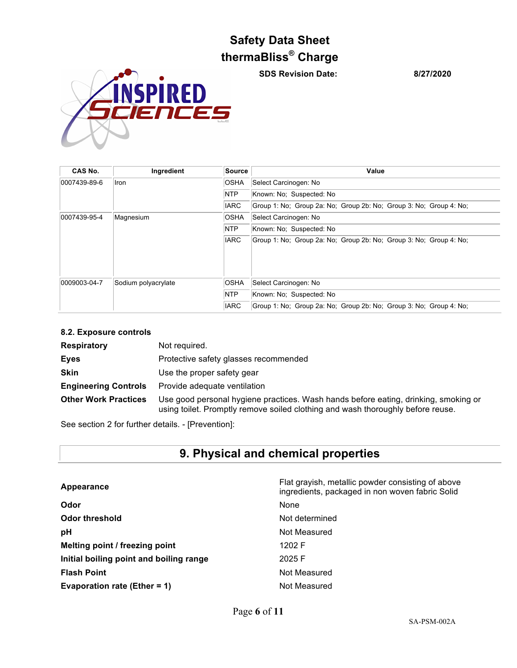**SDS Revision Date: 8/27/2020**



| CAS No.      | Ingredient          | Source      | Value                                                              |  |
|--------------|---------------------|-------------|--------------------------------------------------------------------|--|
| 0007439-89-6 | Ilron               | <b>OSHA</b> | Select Carcinogen: No                                              |  |
|              |                     | <b>NTP</b>  | Known: No: Suspected: No                                           |  |
|              |                     | <b>IARC</b> | Group 1: No; Group 2a: No; Group 2b: No; Group 3: No; Group 4: No; |  |
| 0007439-95-4 | Magnesium           | <b>OSHA</b> | Select Carcinogen: No                                              |  |
|              |                     | <b>NTP</b>  | Known: No: Suspected: No                                           |  |
|              |                     | <b>IARC</b> | Group 1: No; Group 2a: No; Group 2b: No; Group 3: No; Group 4: No; |  |
| 0009003-04-7 | Sodium polyacrylate | <b>OSHA</b> | Select Carcinogen: No                                              |  |
|              |                     | <b>NTP</b>  | Known: No: Suspected: No                                           |  |
|              |                     | <b>IARC</b> | Group 1: No; Group 2a: No; Group 2b: No; Group 3: No; Group 4: No; |  |

## **8.2. Exposure controls**

| <b>Respiratory</b>          | Not required.                                                                                                                                                          |
|-----------------------------|------------------------------------------------------------------------------------------------------------------------------------------------------------------------|
| <b>Eves</b>                 | Protective safety glasses recommended                                                                                                                                  |
| <b>Skin</b>                 | Use the proper safety gear                                                                                                                                             |
| <b>Engineering Controls</b> | Provide adequate ventilation                                                                                                                                           |
| <b>Other Work Practices</b> | Use good personal hygiene practices. Wash hands before eating, drinking, smoking or<br>using toilet. Promptly remove soiled clothing and wash thoroughly before reuse. |

See section 2 for further details. - [Prevention]:

# **9. Physical and chemical properties**

| Appearance                              | Flat grayish, metallic powder consisting of above<br>ingredients, packaged in non woven fabric Solid |
|-----------------------------------------|------------------------------------------------------------------------------------------------------|
| Odor                                    | None                                                                                                 |
| Odor threshold                          | Not determined                                                                                       |
| рH                                      | Not Measured                                                                                         |
| Melting point / freezing point          | 1202 F                                                                                               |
| Initial boiling point and boiling range | 2025 F                                                                                               |
| <b>Flash Point</b>                      | Not Measured                                                                                         |
| Evaporation rate (Ether = 1)            | Not Measured                                                                                         |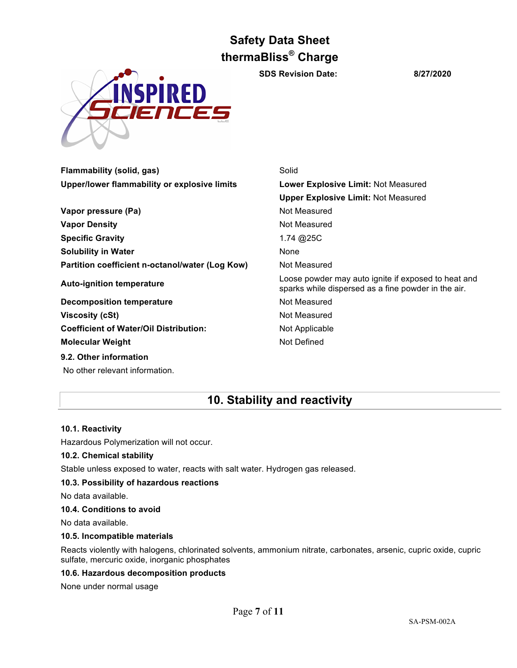INSPIRED ENCES

**Flammability (solid, gas)** Solid

**SDS Revision Date: 8/27/2020**

| <b>Lower Explosive Limit: Not Measured</b>                                                                 |
|------------------------------------------------------------------------------------------------------------|
| <b>Upper Explosive Limit: Not Measured</b>                                                                 |
| Not Measured                                                                                               |
| Not Measured                                                                                               |
| 1.74 @25C                                                                                                  |
| None                                                                                                       |
| Not Measured                                                                                               |
| Loose powder may auto ignite if exposed to heat and<br>sparks while dispersed as a fine powder in the air. |
| Not Measured                                                                                               |
| Not Measured                                                                                               |
| Not Applicable                                                                                             |
| Not Defined                                                                                                |
|                                                                                                            |
|                                                                                                            |

No other relevant information.

## **10. Stability and reactivity**

## **10.1. Reactivity**

Hazardous Polymerization will not occur.

## **10.2. Chemical stability**

Stable unless exposed to water, reacts with salt water. Hydrogen gas released.

## **10.3. Possibility of hazardous reactions**

No data available.

## **10.4. Conditions to avoid**

No data available.

## **10.5. Incompatible materials**

Reacts violently with halogens, chlorinated solvents, ammonium nitrate, carbonates, arsenic, cupric oxide, cupric sulfate, mercuric oxide, inorganic phosphates

## **10.6. Hazardous decomposition products**

None under normal usage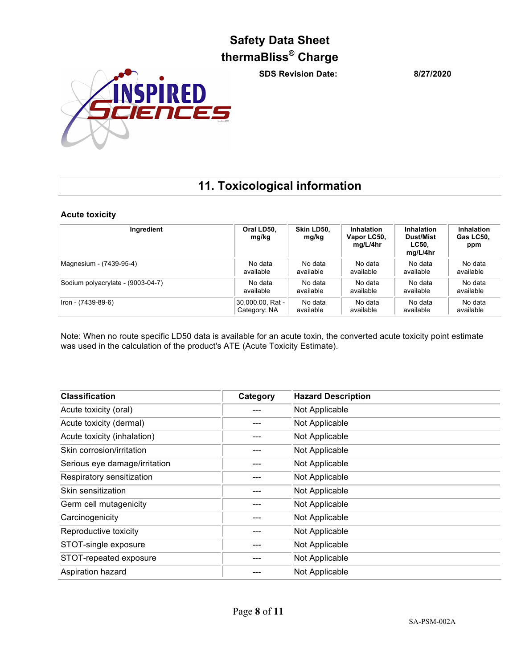**SDS Revision Date: 8/27/2020**



## **11. Toxicological information**

## **Acute toxicity**

| Ingredient                        | Oral LD50,<br>mg/kg | Skin LD50.<br>mg/kg | <b>Inhalation</b><br>Vapor LC50,<br>mg/L/4hr | <b>Inhalation</b><br>Dust/Mist<br>LC50.<br>mg/L/4hr | <b>Inhalation</b><br>Gas LC50.<br>ppm |
|-----------------------------------|---------------------|---------------------|----------------------------------------------|-----------------------------------------------------|---------------------------------------|
| Magnesium - (7439-95-4)           | No data             | No data             | No data                                      | No data                                             | No data                               |
|                                   | available           | available           | available                                    | available                                           | available                             |
| Sodium polyacrylate - (9003-04-7) | No data             | No data             | No data                                      | No data                                             | No data                               |
|                                   | available           | available           | available                                    | available                                           | available                             |
| Iron - (7439-89-6)                | 30,000.00, Rat -    | No data             | No data                                      | No data                                             | No data                               |
|                                   | Category: NA        | available           | available                                    | available                                           | available                             |

Note: When no route specific LD50 data is available for an acute toxin, the converted acute toxicity point estimate was used in the calculation of the product's ATE (Acute Toxicity Estimate).

| <b>Classification</b>         | Category | <b>Hazard Description</b> |
|-------------------------------|----------|---------------------------|
| Acute toxicity (oral)         |          | Not Applicable            |
| Acute toxicity (dermal)       |          | Not Applicable            |
| Acute toxicity (inhalation)   |          | Not Applicable            |
| Skin corrosion/irritation     |          | Not Applicable            |
| Serious eye damage/irritation |          | Not Applicable            |
| Respiratory sensitization     |          | Not Applicable            |
| Skin sensitization            |          | Not Applicable            |
| Germ cell mutagenicity        |          | Not Applicable            |
| Carcinogenicity               |          | Not Applicable            |
| Reproductive toxicity         |          | Not Applicable            |
| STOT-single exposure          |          | Not Applicable            |
| STOT-repeated exposure        |          | Not Applicable            |
| Aspiration hazard             |          | Not Applicable            |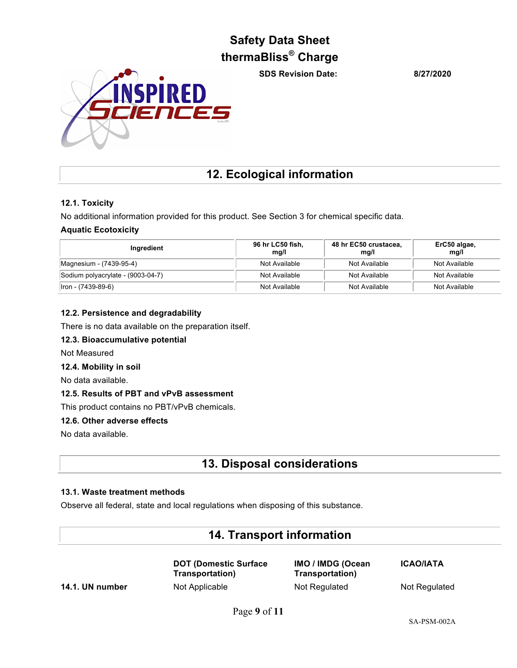**SDS Revision Date: 8/27/2020**



## **12. Ecological information**

## **12.1. Toxicity**

No additional information provided for this product. See Section 3 for chemical specific data.

## **Aquatic Ecotoxicity**

| Ingredient                        | 96 hr LC50 fish,<br>mq/l | 48 hr EC50 crustacea.<br>mq/l | ErC50 algae,<br>mq/l |
|-----------------------------------|--------------------------|-------------------------------|----------------------|
| Magnesium - (7439-95-4)           | Not Available            | Not Available                 | Not Available        |
| Sodium polyacrylate - (9003-04-7) | Not Available            | Not Available                 | Not Available        |
| $ $ Iron - (7439-89-6)            | Not Available            | Not Available                 | Not Available        |

## **12.2. Persistence and degradability**

There is no data available on the preparation itself.

## **12.3. Bioaccumulative potential**

Not Measured

## **12.4. Mobility in soil**

No data available.

## **12.5. Results of PBT and vPvB assessment**

This product contains no PBT/vPvB chemicals.

## **12.6. Other adverse effects**

No data available.

## **13. Disposal considerations**

## **13.1. Waste treatment methods**

Observe all federal, state and local regulations when disposing of this substance.

## **14. Transport information**

**DOT (Domestic Surface Transportation)**

**IMO / IMDG (Ocean Transportation) 14.1. UN number** Not Applicable Not Regulated Not Regulated Not Regulated

**ICAO/IATA**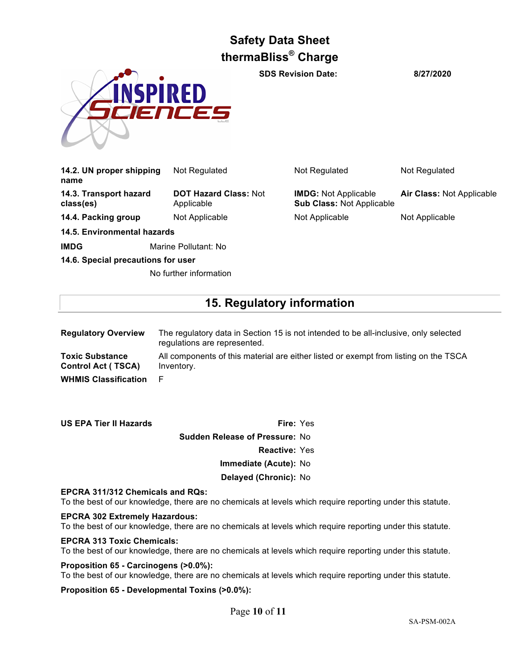

**SDS Revision Date: 8/27/2020**

| 14.2. UN proper shipping<br>name    | Not Regulated                              | Not Regulated                                                   | Not Regulated             |
|-------------------------------------|--------------------------------------------|-----------------------------------------------------------------|---------------------------|
| 14.3. Transport hazard<br>class(es) | <b>DOT Hazard Class: Not</b><br>Applicable | <b>IMDG:</b> Not Applicable<br><b>Sub Class: Not Applicable</b> | Air Class: Not Applicable |
| 14.4. Packing group                 | Not Applicable                             | Not Applicable                                                  | Not Applicable            |
| 14.5. Environmental hazards         |                                            |                                                                 |                           |
| <b>IMDG</b>                         | Marine Pollutant: No                       |                                                                 |                           |

**14.6. Special precautions for user**

No further information

## **15. Regulatory information**

| <b>Regulatory Overview</b>                          | The regulatory data in Section 15 is not intended to be all-inclusive, only selected<br>regulations are represented. |
|-----------------------------------------------------|----------------------------------------------------------------------------------------------------------------------|
| <b>Toxic Substance</b><br><b>Control Act (TSCA)</b> | All components of this material are either listed or exempt from listing on the TSCA<br>Inventory.                   |
| <b>WHMIS Classification</b>                         | - F                                                                                                                  |

**US EPA Tier II Hazards Fire:** Yes **Sudden Release of Pressure:** No **Reactive:** Yes **Immediate (Acute):** No **Delayed (Chronic):** No

## **EPCRA 311/312 Chemicals and RQs:**

To the best of our knowledge, there are no chemicals at levels which require reporting under this statute.

#### **EPCRA 302 Extremely Hazardous:**

To the best of our knowledge, there are no chemicals at levels which require reporting under this statute.

## **EPCRA 313 Toxic Chemicals:**

To the best of our knowledge, there are no chemicals at levels which require reporting under this statute.

## **Proposition 65 - Carcinogens (>0.0%):**

To the best of our knowledge, there are no chemicals at levels which require reporting under this statute.

## **Proposition 65 - Developmental Toxins (>0.0%):**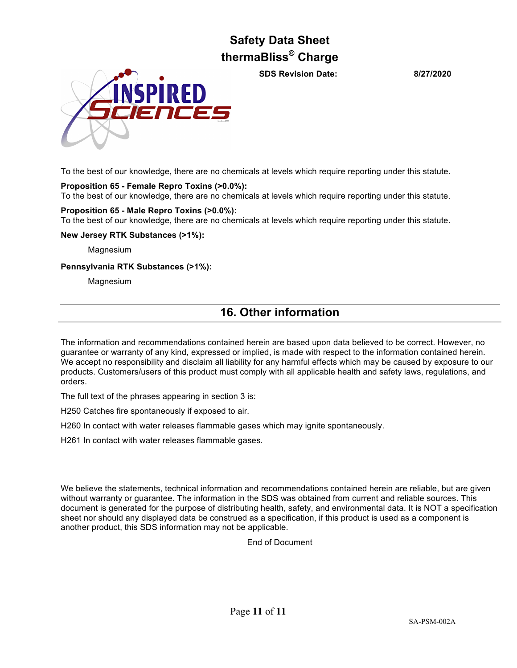**SDS Revision Date: 8/27/2020**



To the best of our knowledge, there are no chemicals at levels which require reporting under this statute.

## **Proposition 65 - Female Repro Toxins (>0.0%):**

To the best of our knowledge, there are no chemicals at levels which require reporting under this statute.

## **Proposition 65 - Male Repro Toxins (>0.0%):**

To the best of our knowledge, there are no chemicals at levels which require reporting under this statute.

**New Jersey RTK Substances (>1%):**

Magnesium

## **Pennsylvania RTK Substances (>1%):**

**Magnesium** 

## **16. Other information**

The information and recommendations contained herein are based upon data believed to be correct. However, no guarantee or warranty of any kind, expressed or implied, is made with respect to the information contained herein. We accept no responsibility and disclaim all liability for any harmful effects which may be caused by exposure to our products. Customers/users of this product must comply with all applicable health and safety laws, regulations, and orders.

The full text of the phrases appearing in section 3 is:

H250 Catches fire spontaneously if exposed to air.

H260 In contact with water releases flammable gases which may ignite spontaneously.

H261 In contact with water releases flammable gases.

We believe the statements, technical information and recommendations contained herein are reliable, but are given without warranty or guarantee. The information in the SDS was obtained from current and reliable sources. This document is generated for the purpose of distributing health, safety, and environmental data. It is NOT a specification sheet nor should any displayed data be construed as a specification, if this product is used as a component is another product, this SDS information may not be applicable.

End of Document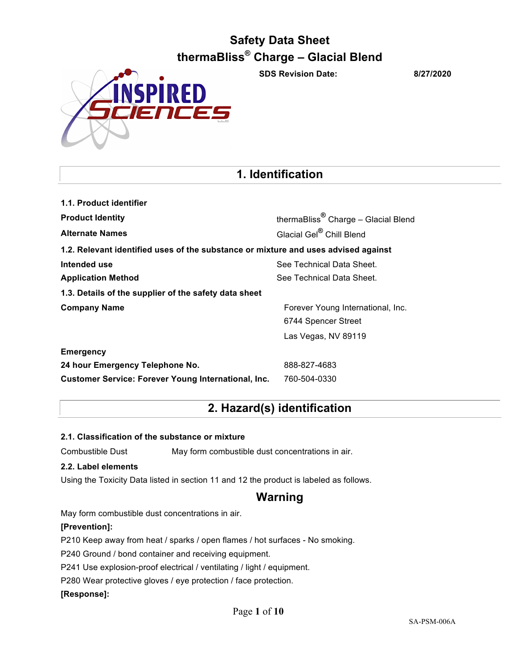SPIRED SNCES

**SDS Revision Date: 8/27/2020**

## **1. Identification**

| 1.1. Product identifier                                                            |                                                 |
|------------------------------------------------------------------------------------|-------------------------------------------------|
| <b>Product Identity</b>                                                            | thermaBliss <sup>®</sup> Charge - Glacial Blend |
| <b>Alternate Names</b>                                                             | Glacial Gel® Chill Blend                        |
| 1.2. Relevant identified uses of the substance or mixture and uses advised against |                                                 |
| Intended use                                                                       | See Technical Data Sheet.                       |
| <b>Application Method</b>                                                          | See Technical Data Sheet.                       |
| 1.3. Details of the supplier of the safety data sheet                              |                                                 |
| <b>Company Name</b>                                                                | Forever Young International, Inc.               |
|                                                                                    | 6744 Spencer Street                             |
|                                                                                    | Las Vegas, NV 89119                             |
| <b>Emergency</b>                                                                   |                                                 |
| 24 hour Emergency Telephone No.                                                    | 888-827-4683                                    |
| <b>Customer Service: Forever Young International, Inc.</b>                         | 760-504-0330                                    |

## **2. Hazard(s) identification**

## **2.1. Classification of the substance or mixture**

Combustible Dust May form combustible dust concentrations in air.

## **2.2. Label elements**

Using the Toxicity Data listed in section 11 and 12 the product is labeled as follows.

## **Warning**

May form combustible dust concentrations in air.

## **[Prevention]:**

P210 Keep away from heat / sparks / open flames / hot surfaces - No smoking.

P240 Ground / bond container and receiving equipment.

P241 Use explosion-proof electrical / ventilating / light / equipment.

P280 Wear protective gloves / eye protection / face protection.

## **[Response]:**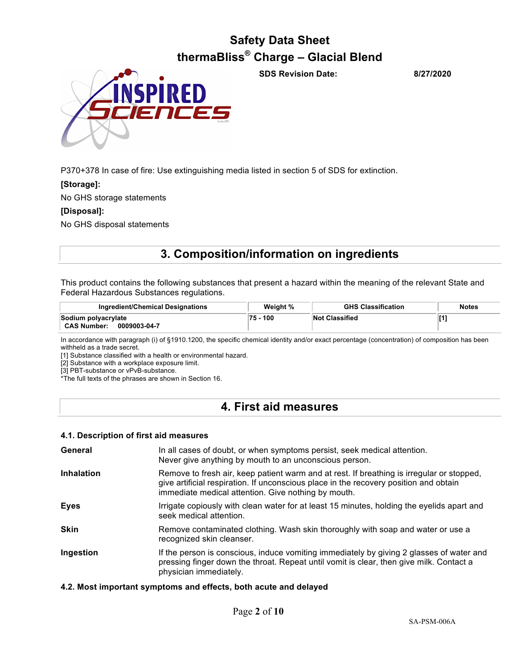

**SDS Revision Date: 8/27/2020**

P370+378 In case of fire: Use extinguishing media listed in section 5 of SDS for extinction.

## **[Storage]:**

No GHS storage statements

#### **[Disposal]:**

No GHS disposal statements

## **3. Composition/information on ingredients**

This product contains the following substances that present a hazard within the meaning of the relevant State and Federal Hazardous Substances regulations.

| Ingredient/Chemical Designations                          | Weight % | <b>GHS Classification</b> | <b>Notes</b> |
|-----------------------------------------------------------|----------|---------------------------|--------------|
| Sodium polyacrylate<br><b>CAS Number:</b><br>0009003-04-7 | 75 - 100 | <b>Not Classified</b>     |              |

In accordance with paragraph (i) of §1910.1200, the specific chemical identity and/or exact percentage (concentration) of composition has been withheld as a trade secret.

[1] Substance classified with a health or environmental hazard.

[2] Substance with a workplace exposure limit.

[3] PBT-substance or vPvB-substance.

\*The full texts of the phrases are shown in Section 16.

## **4. First aid measures**

#### **4.1. Description of first aid measures**

| General           | In all cases of doubt, or when symptoms persist, seek medical attention.<br>Never give anything by mouth to an unconscious person.                                                                                                        |  |
|-------------------|-------------------------------------------------------------------------------------------------------------------------------------------------------------------------------------------------------------------------------------------|--|
| <b>Inhalation</b> | Remove to fresh air, keep patient warm and at rest. If breathing is irregular or stopped,<br>give artificial respiration. If unconscious place in the recovery position and obtain<br>immediate medical attention. Give nothing by mouth. |  |
| <b>Eyes</b>       | Irrigate copiously with clean water for at least 15 minutes, holding the eyelids apart and<br>seek medical attention.                                                                                                                     |  |
| <b>Skin</b>       | Remove contaminated clothing. Wash skin thoroughly with soap and water or use a<br>recognized skin cleanser.                                                                                                                              |  |
| Ingestion         | If the person is conscious, induce vomiting immediately by giving 2 glasses of water and<br>pressing finger down the throat. Repeat until vomit is clear, then give milk. Contact a<br>physician immediately.                             |  |

## **4.2. Most important symptoms and effects, both acute and delayed**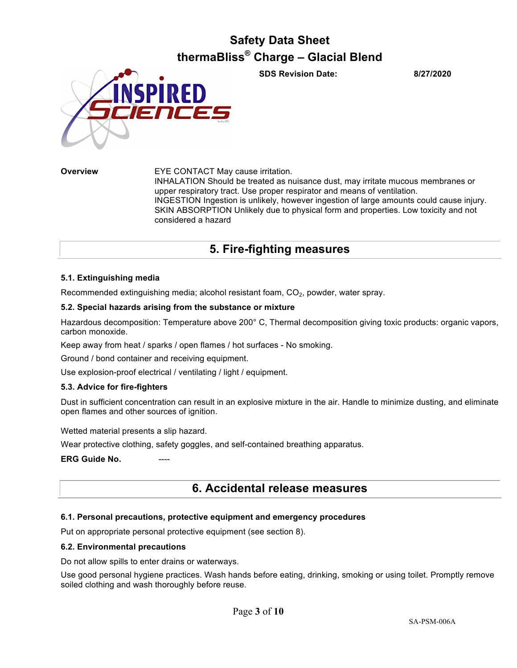

**SDS Revision Date: 8/27/2020**

**Overview** EYE CONTACT May cause irritation. INHALATION Should be treated as nuisance dust, may irritate mucous membranes or upper respiratory tract. Use proper respirator and means of ventilation. INGESTION Ingestion is unlikely, however ingestion of large amounts could cause injury. SKIN ABSORPTION Unlikely due to physical form and properties. Low toxicity and not considered a hazard

## **5. Fire-fighting measures**

## **5.1. Extinguishing media**

Recommended extinguishing media; alcohol resistant foam,  $CO<sub>2</sub>$ , powder, water spray.

## **5.2. Special hazards arising from the substance or mixture**

Hazardous decomposition: Temperature above 200° C, Thermal decomposition giving toxic products: organic vapors, carbon monoxide.

Keep away from heat / sparks / open flames / hot surfaces - No smoking.

Ground / bond container and receiving equipment.

Use explosion-proof electrical / ventilating / light / equipment.

## **5.3. Advice for fire-fighters**

Dust in sufficient concentration can result in an explosive mixture in the air. Handle to minimize dusting, and eliminate open flames and other sources of ignition.

Wetted material presents a slip hazard.

Wear protective clothing, safety goggles, and self-contained breathing apparatus.

**ERG Guide No.** 

## **6. Accidental release measures**

## **6.1. Personal precautions, protective equipment and emergency procedures**

Put on appropriate personal protective equipment (see section 8).

## **6.2. Environmental precautions**

Do not allow spills to enter drains or waterways.

Use good personal hygiene practices. Wash hands before eating, drinking, smoking or using toilet. Promptly remove soiled clothing and wash thoroughly before reuse.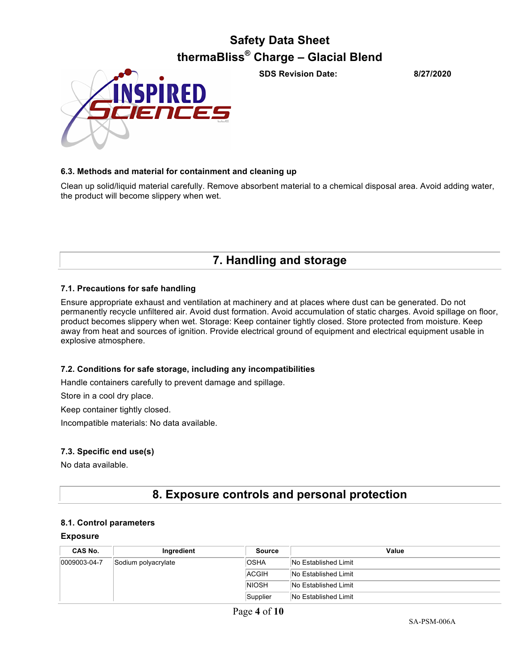

**SDS Revision Date: 8/27/2020**

## **6.3. Methods and material for containment and cleaning up**

Clean up solid/liquid material carefully. Remove absorbent material to a chemical disposal area. Avoid adding water, the product will become slippery when wet.

**7. Handling and storage**

## **7.1. Precautions for safe handling**

Ensure appropriate exhaust and ventilation at machinery and at places where dust can be generated. Do not permanently recycle unfiltered air. Avoid dust formation. Avoid accumulation of static charges. Avoid spillage on floor, product becomes slippery when wet. Storage: Keep container tightly closed. Store protected from moisture. Keep away from heat and sources of ignition. Provide electrical ground of equipment and electrical equipment usable in explosive atmosphere.

## **7.2. Conditions for safe storage, including any incompatibilities**

Handle containers carefully to prevent damage and spillage.

Store in a cool dry place.

Keep container tightly closed.

Incompatible materials: No data available.

## **7.3. Specific end use(s)**

No data available.

## **8. Exposure controls and personal protection**

## **8.1. Control parameters**

## **Exposure**

| <b>CAS No.</b> | Ingredient          | Source       | Value                |
|----------------|---------------------|--------------|----------------------|
| 0009003-04-7   | Sodium polyacrylate | <b>OSHA</b>  | No Established Limit |
|                |                     | ACGIH        | No Established Limit |
|                |                     | <b>NIOSH</b> | No Established Limit |
|                |                     | Supplier     | No Established Limit |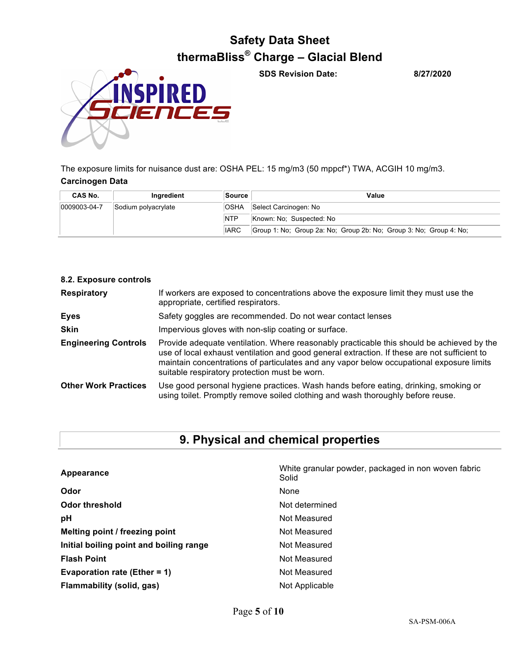

**SDS Revision Date: 8/27/2020**

The exposure limits for nuisance dust are: OSHA PEL: 15 mg/m3 (50 mppcf\*) TWA, ACGIH 10 mg/m3. **Carcinogen Data** 

| CAS No.      | Inaredient          | Source      | Value                                                              |
|--------------|---------------------|-------------|--------------------------------------------------------------------|
| 0009003-04-7 | Sodium polyacrylate | OSHA        | Select Carcinogen: No                                              |
|              |                     | <b>NTP</b>  | Known: No: Suspected: No                                           |
|              |                     | <b>IARC</b> | Group 1: No; Group 2a: No; Group 2b: No; Group 3: No; Group 4: No; |

| 8.2. Exposure controls      |                                                                                                                                                                                                                                                                                                                                        |
|-----------------------------|----------------------------------------------------------------------------------------------------------------------------------------------------------------------------------------------------------------------------------------------------------------------------------------------------------------------------------------|
| <b>Respiratory</b>          | If workers are exposed to concentrations above the exposure limit they must use the<br>appropriate, certified respirators.                                                                                                                                                                                                             |
| <b>Eyes</b>                 | Safety goggles are recommended. Do not wear contact lenses                                                                                                                                                                                                                                                                             |
| <b>Skin</b>                 | Impervious gloves with non-slip coating or surface.                                                                                                                                                                                                                                                                                    |
| <b>Engineering Controls</b> | Provide adequate ventilation. Where reasonably practicable this should be achieved by the<br>use of local exhaust ventilation and good general extraction. If these are not sufficient to<br>maintain concentrations of particulates and any vapor below occupational exposure limits<br>suitable respiratory protection must be worn. |
| <b>Other Work Practices</b> | Use good personal hygiene practices. Wash hands before eating, drinking, smoking or<br>using toilet. Promptly remove soiled clothing and wash thoroughly before reuse.                                                                                                                                                                 |

## **9. Physical and chemical properties**

| Appearance                              | White granular powder, packaged in non woven fabric<br>Solid |
|-----------------------------------------|--------------------------------------------------------------|
| Odor                                    | None                                                         |
| <b>Odor threshold</b>                   | Not determined                                               |
| рH                                      | Not Measured                                                 |
| Melting point / freezing point          | Not Measured                                                 |
| Initial boiling point and boiling range | Not Measured                                                 |
| <b>Flash Point</b>                      | Not Measured                                                 |
| Evaporation rate (Ether = $1$ )         | Not Measured                                                 |
| Flammability (solid, gas)               | Not Applicable                                               |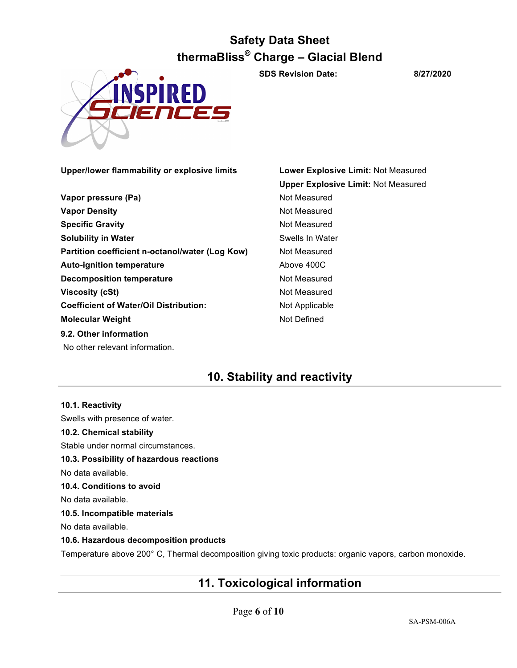

**SDS Revision Date: 8/27/2020**

**Upper/lower flammability or explosive limits Lower Explosive Limit:** Not Measured

**Vapor pressure (Pa)** Not Measured **Vapor Density Not Measured** Not Measured **Specific Gravity** Not Measured **Solubility in Water** Solubility in Water **Partition coefficient n-octanol/water (Log Kow)** Not Measured **Auto-ignition temperature Above 400C Decomposition temperature** Not Measured **Viscosity (cSt)** Not Measured **Coefficient of Water/Oil Distribution:** Not Applicable **Molecular Weight** Not Defined **9.2. Other information** No other relevant information.

**Upper Explosive Limit:** Not Measured

## **10. Stability and reactivity**

**10.1. Reactivity** Swells with presence of water. **10.2. Chemical stability** Stable under normal circumstances. **10.3. Possibility of hazardous reactions** No data available. **10.4. Conditions to avoid** No data available. **10.5. Incompatible materials** No data available. **10.6. Hazardous decomposition products**

Temperature above 200° C, Thermal decomposition giving toxic products: organic vapors, carbon monoxide.

## **11. Toxicological information**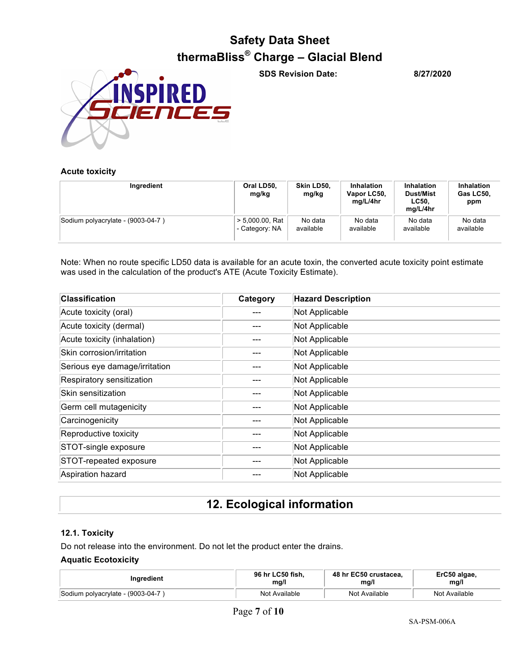

**SDS Revision Date: 8/27/2020**

## **Acute toxicity**

| Ingredient                        | Oral LD50,<br>mg/kg | Skin LD50,<br>mg/kg | <b>Inhalation</b><br>Vapor LC50,<br>ma/L/4hr | <b>Inhalation</b><br><b>Dust/Mist</b><br>LC50.<br>mg/L/4hr | <b>Inhalation</b><br>Gas LC50.<br>ppm |
|-----------------------------------|---------------------|---------------------|----------------------------------------------|------------------------------------------------------------|---------------------------------------|
| Sodium polyacrylate - (9003-04-7) | $> 5,000.00$ , Rat  | No data             | No data                                      | No data                                                    | No data                               |
|                                   | - Category: NA      | available           | available                                    | available                                                  | available                             |

Note: When no route specific LD50 data is available for an acute toxin, the converted acute toxicity point estimate was used in the calculation of the product's ATE (Acute Toxicity Estimate).

| <b>Classification</b>         | Category | <b>Hazard Description</b> |
|-------------------------------|----------|---------------------------|
| Acute toxicity (oral)         |          | Not Applicable            |
| Acute toxicity (dermal)       |          | Not Applicable            |
| Acute toxicity (inhalation)   |          | Not Applicable            |
| Skin corrosion/irritation     |          | Not Applicable            |
| Serious eye damage/irritation |          | Not Applicable            |
| Respiratory sensitization     |          | Not Applicable            |
| Skin sensitization            |          | Not Applicable            |
| Germ cell mutagenicity        |          | Not Applicable            |
| Carcinogenicity               |          | Not Applicable            |
| Reproductive toxicity         |          | Not Applicable            |
| STOT-single exposure          |          | Not Applicable            |
| STOT-repeated exposure        |          | Not Applicable            |
| Aspiration hazard             |          | Not Applicable            |

## **12. Ecological information**

## **12.1. Toxicity**

Do not release into the environment. Do not let the product enter the drains.

## **Aquatic Ecotoxicity**

| <b>Inaredient</b>                 | 96 hr LC50 fish. | 48 hr EC50 crustacea. | ErC50 algae,  |
|-----------------------------------|------------------|-----------------------|---------------|
|                                   | mg/l             | mq/l                  | mg/l          |
| Sodium polyacrylate - (9003-04-7) | Not Available    | Not Available         | Not Available |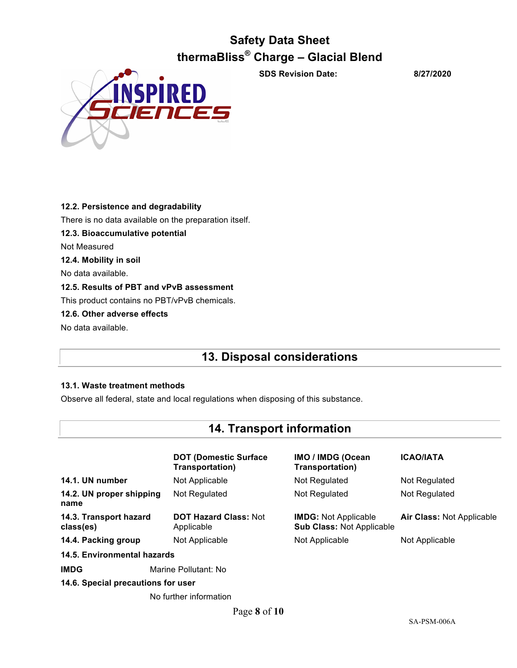

**SDS Revision Date: 8/27/2020**

**12.2. Persistence and degradability** There is no data available on the preparation itself. **12.3. Bioaccumulative potential** Not Measured **12.4. Mobility in soil** No data available. **12.5. Results of PBT and vPvB assessment** This product contains no PBT/vPvB chemicals. **12.6. Other adverse effects** No data available.

## **13. Disposal considerations**

## **13.1. Waste treatment methods**

Observe all federal, state and local regulations when disposing of this substance.

## **14. Transport information**

|                                     | <b>DOT (Domestic Surface)</b><br>Transportation) | <b>IMO / IMDG (Ocean</b><br>Transportation)                     | <b>ICAO/IATA</b>                 |  |
|-------------------------------------|--------------------------------------------------|-----------------------------------------------------------------|----------------------------------|--|
| 14.1. UN number                     | Not Applicable                                   | Not Regulated                                                   | Not Regulated                    |  |
| 14.2. UN proper shipping<br>name    | Not Regulated                                    | Not Regulated                                                   | Not Regulated                    |  |
| 14.3. Transport hazard<br>class(es) | <b>DOT Hazard Class: Not</b><br>Applicable       | <b>IMDG:</b> Not Applicable<br><b>Sub Class: Not Applicable</b> | <b>Air Class: Not Applicable</b> |  |
| 14.4. Packing group                 | Not Applicable                                   | Not Applicable                                                  | Not Applicable                   |  |
| 14.5. Environmental hazards         |                                                  |                                                                 |                                  |  |
| <b>IMDG</b>                         | Marine Pollutant: No                             |                                                                 |                                  |  |
| 14.6. Special precautions for user  |                                                  |                                                                 |                                  |  |

No further information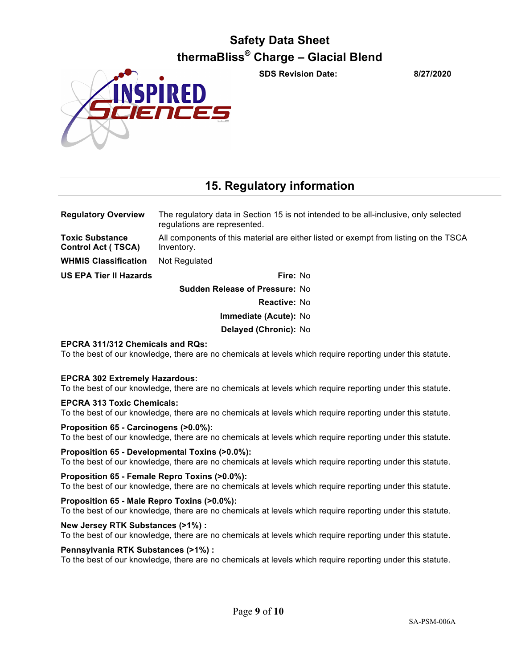**SDS Revision Date: 8/27/2020**



## **15. Regulatory information**

**Regulatory Overview** The regulatory data in Section 15 is not intended to be all-inclusive, only selected regulations are represented. **Toxic Substance Control Act ( TSCA)** All components of this material are either listed or exempt from listing on the TSCA Inventory. **WHMIS Classification** Not Regulated

**US EPA Tier II Hazards Fire:** No

**Sudden Release of Pressure:** No **Reactive:** No **Immediate (Acute):** No

**Delayed (Chronic):** No

## **EPCRA 311/312 Chemicals and RQs:**

To the best of our knowledge, there are no chemicals at levels which require reporting under this statute.

## **EPCRA 302 Extremely Hazardous:**

To the best of our knowledge, there are no chemicals at levels which require reporting under this statute.

## **EPCRA 313 Toxic Chemicals:**

To the best of our knowledge, there are no chemicals at levels which require reporting under this statute.

## **Proposition 65 - Carcinogens (>0.0%):**

To the best of our knowledge, there are no chemicals at levels which require reporting under this statute.

## **Proposition 65 - Developmental Toxins (>0.0%):**

To the best of our knowledge, there are no chemicals at levels which require reporting under this statute.

## **Proposition 65 - Female Repro Toxins (>0.0%):**

To the best of our knowledge, there are no chemicals at levels which require reporting under this statute.

## **Proposition 65 - Male Repro Toxins (>0.0%):**

To the best of our knowledge, there are no chemicals at levels which require reporting under this statute.

## **New Jersey RTK Substances (>1%) :**

To the best of our knowledge, there are no chemicals at levels which require reporting under this statute.

## **Pennsylvania RTK Substances (>1%) :**

To the best of our knowledge, there are no chemicals at levels which require reporting under this statute.